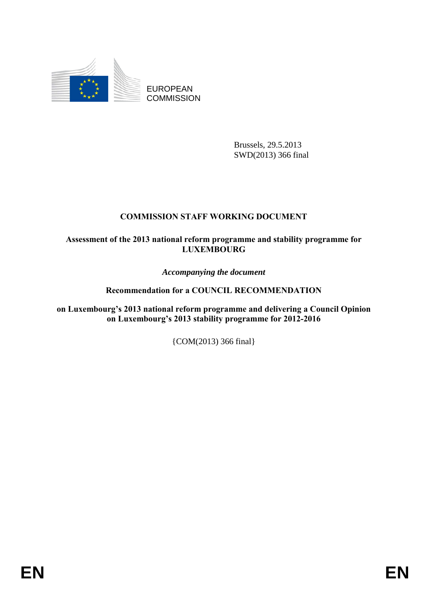

EUROPEAN **COMMISSION** 

> Brussels, 29.5.2013 SWD(2013) 366 final

# **COMMISSION STAFF WORKING DOCUMENT**

## **Assessment of the 2013 national reform programme and stability programme for LUXEMBOURG**

*Accompanying the document* 

# **Recommendation for a COUNCIL RECOMMENDATION**

**on Luxembourg's 2013 national reform programme and delivering a Council Opinion on Luxembourg's 2013 stability programme for 2012-2016** 

{COM(2013) 366 final}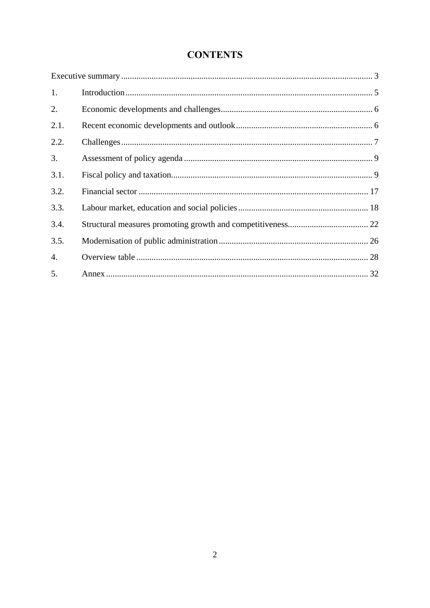# **CONTENTS**

| 1.   |  |
|------|--|
| 2.   |  |
| 2.1. |  |
| 2.2. |  |
| 3.   |  |
| 3.1. |  |
| 3.2. |  |
| 3.3. |  |
| 3.4. |  |
| 3.5. |  |
| 4.   |  |
| 5.   |  |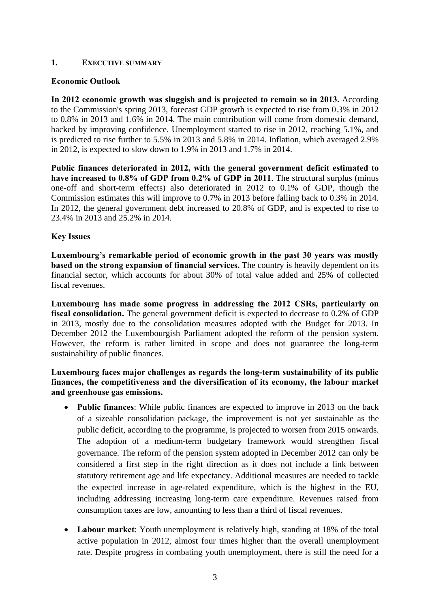## <span id="page-2-0"></span>**1. EXECUTIVE SUMMARY**

## **Economic Outlook**

**In 2012 economic growth was sluggish and is projected to remain so in 2013.** According to the Commission's spring 2013, forecast GDP growth is expected to rise from 0.3% in 2012 to 0.8% in 2013 and 1.6% in 2014. The main contribution will come from domestic demand, backed by improving confidence. Unemployment started to rise in 2012, reaching 5.1%, and is predicted to rise further to 5.5% in 2013 and 5.8% in 2014. Inflation, which averaged 2.9% in 2012, is expected to slow down to 1.9% in 2013 and 1.7% in 2014.

**Public finances deteriorated in 2012, with the general government deficit estimated to have increased to 0.8% of GDP from 0.2% of GDP in 2011**. The structural surplus (minus one-off and short-term effects) also deteriorated in 2012 to 0.1% of GDP, though the Commission estimates this will improve to 0.7% in 2013 before falling back to 0.3% in 2014. In 2012, the general government debt increased to 20.8% of GDP, and is expected to rise to 23.4% in 2013 and 25.2% in 2014.

#### **Key Issues**

**Luxembourg's remarkable period of economic growth in the past 30 years was mostly based on the strong expansion of financial services.** The country is heavily dependent on its financial sector, which accounts for about 30% of total value added and 25% of collected fiscal revenues.

**Luxembourg has made some progress in addressing the 2012 CSRs, particularly on fiscal consolidation.** The general government deficit is expected to decrease to 0.2% of GDP in 2013, mostly due to the consolidation measures adopted with the Budget for 2013. In December 2012 the Luxembourgish Parliament adopted the reform of the pension system. However, the reform is rather limited in scope and does not guarantee the long-term sustainability of public finances.

**Luxembourg faces major challenges as regards the long-term sustainability of its public finances, the competitiveness and the diversification of its economy, the labour market and greenhouse gas emissions.** 

- **Public finances**: While public finances are expected to improve in 2013 on the back of a sizeable consolidation package, the improvement is not yet sustainable as the public deficit, according to the programme, is projected to worsen from 2015 onwards. The adoption of a medium-term budgetary framework would strengthen fiscal governance. The reform of the pension system adopted in December 2012 can only be considered a first step in the right direction as it does not include a link between statutory retirement age and life expectancy. Additional measures are needed to tackle the expected increase in age-related expenditure, which is the highest in the EU, including addressing increasing long-term care expenditure. Revenues raised from consumption taxes are low, amounting to less than a third of fiscal revenues.
- **Labour market**: Youth unemployment is relatively high, standing at 18% of the total active population in 2012, almost four times higher than the overall unemployment rate. Despite progress in combating youth unemployment, there is still the need for a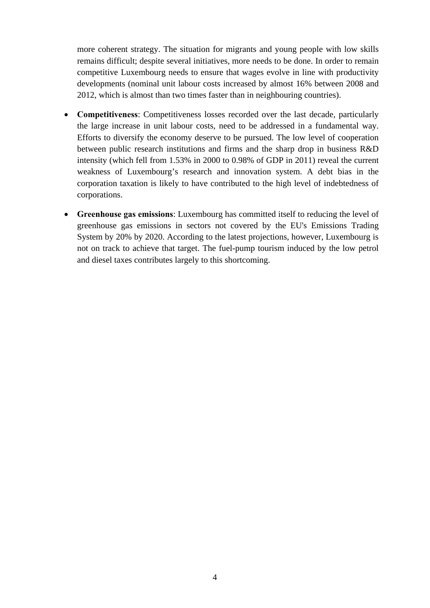more coherent strategy. The situation for migrants and young people with low skills remains difficult; despite several initiatives, more needs to be done. In order to remain competitive Luxembourg needs to ensure that wages evolve in line with productivity developments (nominal unit labour costs increased by almost 16% between 2008 and 2012, which is almost than two times faster than in neighbouring countries).

- **Competitiveness**: Competitiveness losses recorded over the last decade, particularly the large increase in unit labour costs, need to be addressed in a fundamental way. Efforts to diversify the economy deserve to be pursued. The low level of cooperation between public research institutions and firms and the sharp drop in business R&D intensity (which fell from 1.53% in 2000 to 0.98% of GDP in 2011) reveal the current weakness of Luxembourg's research and innovation system. A debt bias in the corporation taxation is likely to have contributed to the high level of indebtedness of corporations.
- **Greenhouse gas emissions**: Luxembourg has committed itself to reducing the level of greenhouse gas emissions in sectors not covered by the EU's Emissions Trading System by 20% by 2020. According to the latest projections, however, Luxembourg is not on track to achieve that target. The fuel-pump tourism induced by the low petrol and diesel taxes contributes largely to this shortcoming.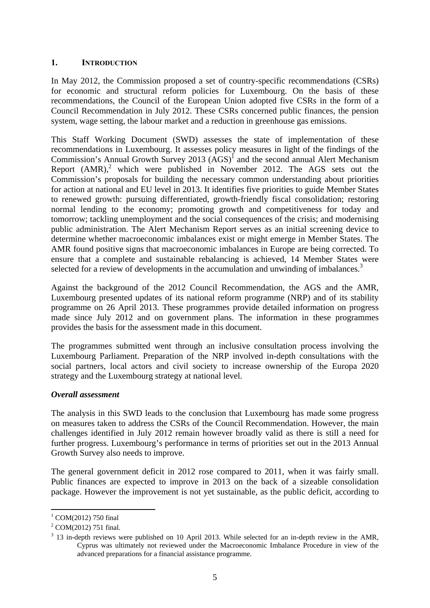## <span id="page-4-0"></span>**1. INTRODUCTION**

In May 2012, the Commission proposed a set of country-specific recommendations (CSRs) for economic and structural reform policies for Luxembourg. On the basis of these recommendations, the Council of the European Union adopted five CSRs in the form of a Council Recommendation in July 2012. These CSRs concerned public finances, the pension system, wage setting, the labour market and a reduction in greenhouse gas emissions.

This Staff Working Document (SWD) assesses the state of implementation of these recommendations in Luxembourg. It assesses policy measures in light of the findings of the Commission's Annual Growth Survey 2013  $(AGS)^{1}$  and the second annual Alert Mechanism Report  $(AMR)<sup>2</sup>$  which were published in November 2012. The AGS sets out the Commission's proposals for building the necessary common understanding about priorities for action at national and EU level in 2013. It identifies five priorities to guide Member States to renewed growth: pursuing differentiated, growth-friendly fiscal consolidation; restoring normal lending to the economy; promoting growth and competitiveness for today and tomorrow; tackling unemployment and the social consequences of the crisis; and modernising public administration. The Alert Mechanism Report serves as an initial screening device to determine whether macroeconomic imbalances exist or might emerge in Member States. The AMR found positive signs that macroeconomic imbalances in Europe are being corrected. To ensure that a complete and sustainable rebalancing is achieved, 14 Member States were selected for a review of developments in the accumulation and unwinding of imbalances.<sup>3</sup>

Against the background of the 2012 Council Recommendation, the AGS and the AMR, Luxembourg presented updates of its national reform programme (NRP) and of its stability programme on 26 April 2013. These programmes provide detailed information on progress made since July 2012 and on government plans. The information in these programmes provides the basis for the assessment made in this document.

The programmes submitted went through an inclusive consultation process involving the Luxembourg Parliament. Preparation of the NRP involved in-depth consultations with the social partners, local actors and civil society to increase ownership of the Europa 2020 strategy and the Luxembourg strategy at national level.

#### *Overall assessment*

The analysis in this SWD leads to the conclusion that Luxembourg has made some progress on measures taken to address the CSRs of the Council Recommendation. However, the main challenges identified in July 2012 remain however broadly valid as there is still a need for further progress. Luxembourg's performance in terms of priorities set out in the 2013 Annual Growth Survey also needs to improve.

The general government deficit in 2012 rose compared to 2011, when it was fairly small. Public finances are expected to improve in 2013 on the back of a sizeable consolidation package. However the improvement is not yet sustainable, as the public deficit, according to

1

<sup>&</sup>lt;sup>1</sup> COM(2012) 750 final

 $^{2}$  COM(2012) 751 final.

 $3$  13 in-depth reviews were published on 10 April 2013. While selected for an in-depth review in the AMR, Cyprus was ultimately not reviewed under the Macroeconomic Imbalance Procedure in view of the advanced preparations for a financial assistance programme.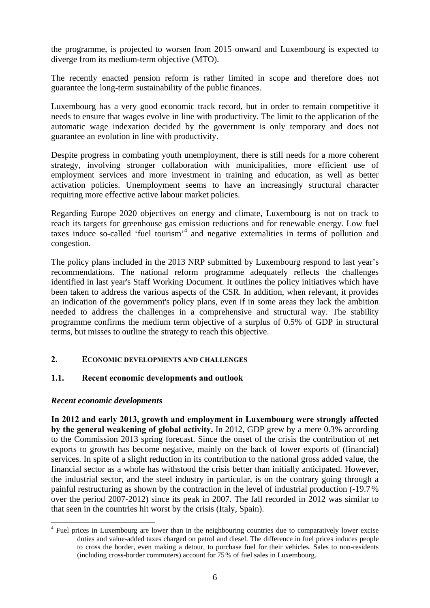the programme, is projected to worsen from 2015 onward and Luxembourg is expected to diverge from its medium-term objective (MTO).

The recently enacted pension reform is rather limited in scope and therefore does not guarantee the long-term sustainability of the public finances.

Luxembourg has a very good economic track record, but in order to remain competitive it needs to ensure that wages evolve in line with productivity. The limit to the application of the automatic wage indexation decided by the government is only temporary and does not guarantee an evolution in line with productivity.

Despite progress in combating youth unemployment, there is still needs for a more coherent strategy, involving stronger collaboration with municipalities, more efficient use of employment services and more investment in training and education, as well as better activation policies. Unemployment seems to have an increasingly structural character requiring more effective active labour market policies.

Regarding Europe 2020 objectives on energy and climate, Luxembourg is not on track to reach its targets for greenhouse gas emission reductions and for renewable energy. Low fuel taxes induce so-called 'fuel tourism'<sup>4</sup> and negative externalities in terms of pollution and congestion.

The policy plans included in the 2013 NRP submitted by Luxembourg respond to last year's recommendations. The national reform programme adequately reflects the challenges identified in last year's Staff Working Document. It outlines the policy initiatives which have been taken to address the various aspects of the CSR. In addition, when relevant, it provides an indication of the government's policy plans, even if in some areas they lack the ambition needed to address the challenges in a comprehensive and structural way. The stability programme confirms the medium term objective of a surplus of 0.5% of GDP in structural terms, but misses to outline the strategy to reach this objective.

## <span id="page-5-1"></span><span id="page-5-0"></span>**2. ECONOMIC DEVELOPMENTS AND CHALLENGES**

## **1.1. Recent economic developments and outlook**

#### *Recent economic developments*

1

**In 2012 and early 2013, growth and employment in Luxembourg were strongly affected by the general weakening of global activity.** In 2012, GDP grew by a mere 0.3% according to the Commission 2013 spring forecast. Since the onset of the crisis the contribution of net exports to growth has become negative, mainly on the back of lower exports of (financial) services. In spite of a slight reduction in its contribution to the national gross added value, the financial sector as a whole has withstood the crisis better than initially anticipated. However, the industrial sector, and the steel industry in particular, is on the contrary going through a painful restructuring as shown by the contraction in the level of industrial production (-19.7% over the period 2007-2012) since its peak in 2007. The fall recorded in 2012 was similar to that seen in the countries hit worst by the crisis (Italy, Spain).

<sup>&</sup>lt;sup>4</sup> Fuel prices in Luxembourg are lower than in the neighbouring countries due to comparatively lower excise duties and value-added taxes charged on petrol and diesel. The difference in fuel prices induces people to cross the border, even making a detour, to purchase fuel for their vehicles. Sales to non-residents (including cross-border commuters) account for 75% of fuel sales in Luxembourg.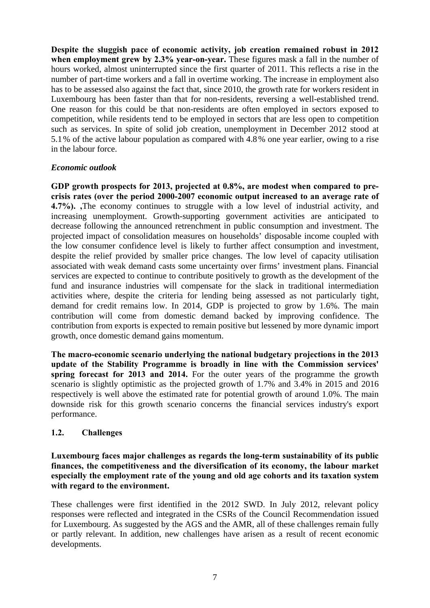**Despite the sluggish pace of economic activity, job creation remained robust in 2012 when employment grew by 2.3% year-on-year.** These figures mask a fall in the number of hours worked, almost uninterrupted since the first quarter of 2011. This reflects a rise in the number of part-time workers and a fall in overtime working. The increase in employment also has to be assessed also against the fact that, since 2010, the growth rate for workers resident in Luxembourg has been faster than that for non-residents, reversing a well-established trend. One reason for this could be that non-residents are often employed in sectors exposed to competition, while residents tend to be employed in sectors that are less open to competition such as services. In spite of solid job creation, unemployment in December 2012 stood at 5.1% of the active labour population as compared with 4.8% one year earlier, owing to a rise in the labour force.

## *Economic outlook*

**GDP growth prospects for 2013, projected at 0.8%, are modest when compared to precrisis rates (over the period 2000-2007 economic output increased to an average rate of 4.7%). ,**The economy continues to struggle with a low level of industrial activity, and increasing unemployment. Growth-supporting government activities are anticipated to decrease following the announced retrenchment in public consumption and investment. The projected impact of consolidation measures on households' disposable income coupled with the low consumer confidence level is likely to further affect consumption and investment, despite the relief provided by smaller price changes. The low level of capacity utilisation associated with weak demand casts some uncertainty over firms' investment plans. Financial services are expected to continue to contribute positively to growth as the development of the fund and insurance industries will compensate for the slack in traditional intermediation activities where, despite the criteria for lending being assessed as not particularly tight, demand for credit remains low. In 2014, GDP is projected to grow by 1.6%. The main contribution will come from domestic demand backed by improving confidence. The contribution from exports is expected to remain positive but lessened by more dynamic import growth, once domestic demand gains momentum.

**The macro-economic scenario underlying the national budgetary projections in the 2013 update of the Stability Programme is broadly in line with the Commission services' spring forecast for 2013 and 2014.** For the outer years of the programme the growth scenario is slightly optimistic as the projected growth of 1.7% and 3.4% in 2015 and 2016 respectively is well above the estimated rate for potential growth of around 1.0%. The main downside risk for this growth scenario concerns the financial services industry's export performance.

## <span id="page-6-0"></span>**1.2. Challenges**

**Luxembourg faces major challenges as regards the long-term sustainability of its public finances, the competitiveness and the diversification of its economy, the labour market especially the employment rate of the young and old age cohorts and its taxation system with regard to the environment.**

These challenges were first identified in the 2012 SWD. In July 2012, relevant policy responses were reflected and integrated in the CSRs of the Council Recommendation issued for Luxembourg. As suggested by the AGS and the AMR, all of these challenges remain fully or partly relevant. In addition, new challenges have arisen as a result of recent economic developments.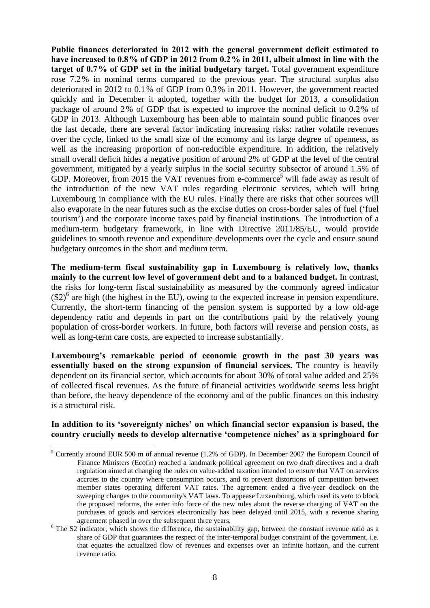**Public finances deteriorated in 2012 with the general government deficit estimated to have increased to 0.8% of GDP in 2012 from 0.2% in 2011, albeit almost in line with the target of 0.7% of GDP set in the initial budgetary target.** Total government expenditure rose 7.2% in nominal terms compared to the previous year. The structural surplus also deteriorated in 2012 to 0.1% of GDP from 0.3% in 2011. However, the government reacted quickly and in December it adopted, together with the budget for 2013, a consolidation package of around 2% of GDP that is expected to improve the nominal deficit to 0.2% of GDP in 2013. Although Luxembourg has been able to maintain sound public finances over the last decade, there are several factor indicating increasing risks: rather volatile revenues over the cycle, linked to the small size of the economy and its large degree of openness, as well as the increasing proportion of non-reducible expenditure. In addition, the relatively small overall deficit hides a negative position of around 2% of GDP at the level of the central government, mitigated by a yearly surplus in the social security subsector of around 1.5% of GDP. Moreover, from 2015 the VAT revenues from e-commerce<sup>5</sup> will fade away as result of the introduction of the new VAT rules regarding electronic services, which will bring Luxembourg in compliance with the EU rules. Finally there are risks that other sources will also evaporate in the near futures such as the excise duties on cross-border sales of fuel ('fuel tourism') and the corporate income taxes paid by financial institutions. The introduction of a medium-term budgetary framework, in line with Directive 2011/85/EU, would provide guidelines to smooth revenue and expenditure developments over the cycle and ensure sound budgetary outcomes in the short and medium term.

**The medium-term fiscal sustainability gap in Luxembourg is relatively low, thanks mainly to the current low level of government debt and to a balanced budget.** In contrast, the risks for long-term fiscal sustainability as measured by the commonly agreed indicator  $(S2)$ <sup>6</sup> are high (the highest in the EU), owing to the expected increase in pension expenditure. Currently, the short-term financing of the pension system is supported by a low old-age dependency ratio and depends in part on the contributions paid by the relatively young population of cross-border workers. In future, both factors will reverse and pension costs, as well as long-term care costs, are expected to increase substantially.

**Luxembourg's remarkable period of economic growth in the past 30 years was essentially based on the strong expansion of financial services.** The country is heavily dependent on its financial sector, which accounts for about 30% of total value added and 25% of collected fiscal revenues. As the future of financial activities worldwide seems less bright than before, the heavy dependence of the economy and of the public finances on this industry is a structural risk.

## **In addition to its 'sovereignty niches' on which financial sector expansion is based, the country crucially needs to develop alternative 'competence niches' as a springboard for**

1

<sup>&</sup>lt;sup>5</sup> Currently around EUR 500 m of annual revenue (1.2% of GDP). In December 2007 the European Council of Finance Ministers (Ecofin) reached a landmark political agreement on two draft directives and a draft regulation aimed at changing the rules on value-added taxation intended to ensure that VAT on services accrues to the country where consumption occurs, and to prevent distortions of competition between member states operating different VAT rates. The agreement ended a five-year deadlock on the sweeping changes to the community's VAT laws. To appease Luxembourg, which used its veto to block the proposed reforms, the enter info force of the new rules about the reverse charging of VAT on the purchases of goods and services electronically has been delayed until 2015, with a revenue sharing agreement phased in over the subsequent three years.

 $6$  The S2 indicator, which shows the difference, the sustainability gap, between the constant revenue ratio as a share of GDP that guarantees the respect of the inter-temporal budget constraint of the government, i.e. that equates the actualized flow of revenues and expenses over an infinite horizon, and the current revenue ratio.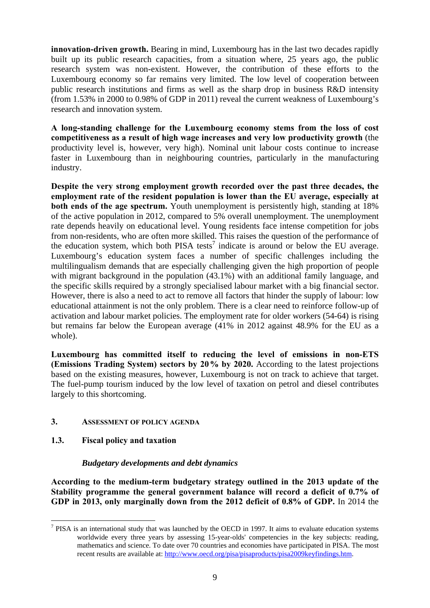**innovation-driven growth.** Bearing in mind, Luxembourg has in the last two decades rapidly built up its public research capacities, from a situation where, 25 years ago, the public research system was non-existent. However, the contribution of these efforts to the Luxembourg economy so far remains very limited. The low level of cooperation between public research institutions and firms as well as the sharp drop in business R&D intensity (from 1.53% in 2000 to 0.98% of GDP in 2011) reveal the current weakness of Luxembourg's research and innovation system.

**A long-standing challenge for the Luxembourg economy stems from the loss of cost competitiveness as a result of high wage increases and very low productivity growth** (the productivity level is, however, very high). Nominal unit labour costs continue to increase faster in Luxembourg than in neighbouring countries, particularly in the manufacturing industry.

**Despite the very strong employment growth recorded over the past three decades, the employment rate of the resident population is lower than the EU average, especially at both ends of the age spectrum.** Youth unemployment is persistently high, standing at 18% of the active population in 2012, compared to 5% overall unemployment. The unemployment rate depends heavily on educational level. Young residents face intense competition for jobs from non-residents, who are often more skilled. This raises the question of the performance of the education system, which both PISA tests<sup>7</sup> indicate is around or below the EU average. Luxembourg's education system faces a number of specific challenges including the multilingualism demands that are especially challenging given the high proportion of people with migrant background in the population (43.1%) with an additional family language, and the specific skills required by a strongly specialised labour market with a big financial sector. However, there is also a need to act to remove all factors that hinder the supply of labour: low educational attainment is not the only problem. There is a clear need to reinforce follow-up of activation and labour market policies. The employment rate for older workers (54-64) is rising but remains far below the European average (41% in 2012 against 48.9% for the EU as a whole).

**Luxembourg has committed itself to reducing the level of emissions in non-ETS (Emissions Trading System) sectors by 20% by 2020.** According to the latest projections based on the existing measures, however, Luxembourg is not on track to achieve that target. The fuel-pump tourism induced by the low level of taxation on petrol and diesel contributes largely to this shortcoming.

## <span id="page-8-1"></span><span id="page-8-0"></span>**3. ASSESSMENT OF POLICY AGENDA**

## **1.3. Fiscal policy and taxation**

## *Budgetary developments and debt dynamics*

**According to the medium-term budgetary strategy outlined in the 2013 update of the Stability programme the general government balance will record a deficit of 0.7% of GDP in 2013, only marginally down from the 2012 deficit of 0.8% of GDP.** In 2014 the

T<sup>7</sup> PISA is an international study that was launched by the OECD in 1997. It aims to evaluate education systems worldwide every three years by assessing 15-year-olds' competencies in the key subjects: reading, mathematics and science. To date over 70 countries and economies have participated in PISA. The most [recent results are available at: http://www.oecd.org/pisa/pisaproducts/pisa2009keyfindings.htm.](http://www.oecd.org/pisa/pisaproducts/pisa2009keyfindings.htm)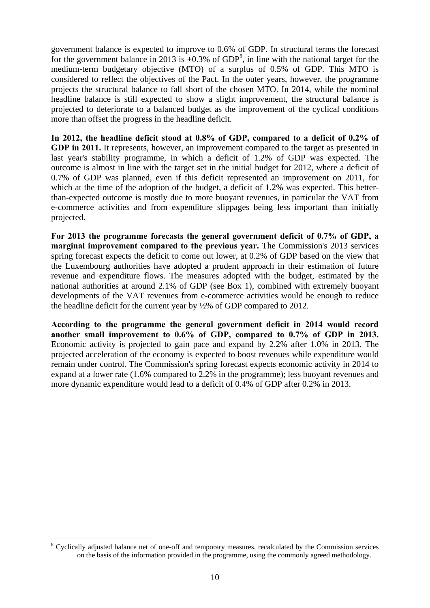government balance is expected to improve to 0.6% of GDP. In structural terms the forecast for the government balance in 2013 is  $+0.3\%$  of GDP<sup>8</sup>, in line with the national target for the medium-term budgetary objective (MTO) of a surplus of 0.5% of GDP. This MTO is considered to reflect the objectives of the Pact. In the outer years, however, the programme projects the structural balance to fall short of the chosen MTO. In 2014, while the nominal headline balance is still expected to show a slight improvement, the structural balance is projected to deteriorate to a balanced budget as the improvement of the cyclical conditions more than offset the progress in the headline deficit.

**In 2012, the headline deficit stood at 0.8% of GDP, compared to a deficit of 0.2% of GDP in 2011.** It represents, however, an improvement compared to the target as presented in last year's stability programme, in which a deficit of 1.2% of GDP was expected. The outcome is almost in line with the target set in the initial budget for 2012, where a deficit of 0.7% of GDP was planned, even if this deficit represented an improvement on 2011, for which at the time of the adoption of the budget, a deficit of 1.2% was expected. This betterthan-expected outcome is mostly due to more buoyant revenues, in particular the VAT from e-commerce activities and from expenditure slippages being less important than initially projected.

**For 2013 the programme forecasts the general government deficit of 0.7% of GDP, a marginal improvement compared to the previous year.** The Commission's 2013 services spring forecast expects the deficit to come out lower, at 0.2% of GDP based on the view that the Luxembourg authorities have adopted a prudent approach in their estimation of future revenue and expenditure flows. The measures adopted with the budget, estimated by the national authorities at around 2.1% of GDP (see Box 1), combined with extremely buoyant developments of the VAT revenues from e-commerce activities would be enough to reduce the headline deficit for the current year by ½% of GDP compared to 2012.

**According to the programme the general government deficit in 2014 would record another small improvement to 0.6% of GDP, compared to 0.7% of GDP in 2013.** Economic activity is projected to gain pace and expand by 2.2% after 1.0% in 2013. The projected acceleration of the economy is expected to boost revenues while expenditure would remain under control. The Commission's spring forecast expects economic activity in 2014 to expand at a lower rate (1.6% compared to 2.2% in the programme); less buoyant revenues and more dynamic expenditure would lead to a deficit of 0.4% of GDP after 0.2% in 2013.

1

<sup>&</sup>lt;sup>8</sup> Cyclically adjusted balance net of one-off and temporary measures, recalculated by the Commission services on the basis of the information provided in the programme, using the commonly agreed methodology.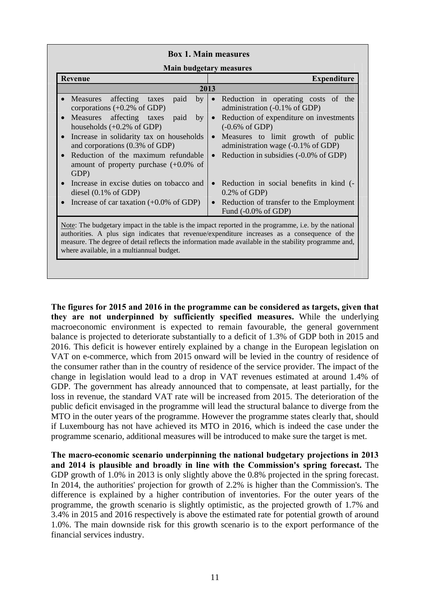| <b>Main budgetary measures</b><br><b>Revenue</b>                                                                                                                                                                                                                                                                                                                                                                        | <b>Expenditure</b>                                                                                                                                                                                                                                                                                                                                        |  |  |  |  |  |  |
|-------------------------------------------------------------------------------------------------------------------------------------------------------------------------------------------------------------------------------------------------------------------------------------------------------------------------------------------------------------------------------------------------------------------------|-----------------------------------------------------------------------------------------------------------------------------------------------------------------------------------------------------------------------------------------------------------------------------------------------------------------------------------------------------------|--|--|--|--|--|--|
| 2013                                                                                                                                                                                                                                                                                                                                                                                                                    |                                                                                                                                                                                                                                                                                                                                                           |  |  |  |  |  |  |
| affecting<br>Measures<br>taxes<br>paid<br>bv<br>corporations $(+0.2\% \text{ of GDP})$<br>Measures affecting taxes<br>paid<br>by<br>$\bullet$<br>households $(+0.2\% \text{ of GDP})$<br>Increase in solidarity tax on households<br>$\bullet$<br>and corporations (0.3% of GDP)<br>Reduction of the maximum refundable<br>amount of property purchase $(+0.0\%$ of<br>GDP)<br>Increase in excise duties on tobacco and | • Reduction in operating costs of the<br>administration (-0.1% of GDP)<br>Reduction of expenditure on investments<br>$\bullet$<br>$(-0.6%$ of GDP)<br>Measures to limit growth of public<br>$\bullet$<br>administration wage (-0.1% of GDP)<br>• Reduction in subsidies $(-0.0\% \text{ of GDP})$<br>Reduction in social benefits in kind (-<br>$\bullet$ |  |  |  |  |  |  |
| diesel $(0.1\% \text{ of GDP})$<br>Increase of car taxation $(+0.0\% \text{ of GDP})$<br>$\bullet$                                                                                                                                                                                                                                                                                                                      | $0.2\%$ of GDP)<br>Reduction of transfer to the Employment<br>$\bullet$<br>Fund $(-0.0\% \text{ of GDP})$                                                                                                                                                                                                                                                 |  |  |  |  |  |  |
| Note: The budgetary impact in the table is the impact reported in the programme, i.e. by the national<br>authorities. A plus sign indicates that revenue/expenditure increases as a consequence of the<br>measure. The degree of detail reflects the information made available in the stability programme and,<br>where available, in a multiannual budget.                                                            |                                                                                                                                                                                                                                                                                                                                                           |  |  |  |  |  |  |

**The figures for 2015 and 2016 in the programme can be considered as targets, given that they are not underpinned by sufficiently specified measures.** While the underlying macroeconomic environment is expected to remain favourable, the general government balance is projected to deteriorate substantially to a deficit of 1.3% of GDP both in 2015 and 2016. This deficit is however entirely explained by a change in the European legislation on VAT on e-commerce, which from 2015 onward will be levied in the country of residence of the consumer rather than in the country of residence of the service provider. The impact of the change in legislation would lead to a drop in VAT revenues estimated at around 1.4% of GDP. The government has already announced that to compensate, at least partially, for the loss in revenue, the standard VAT rate will be increased from 2015. The deterioration of the public deficit envisaged in the programme will lead the structural balance to diverge from the MTO in the outer years of the programme. However the programme states clearly that, should if Luxembourg has not have achieved its MTO in 2016, which is indeed the case under the programme scenario, additional measures will be introduced to make sure the target is met.

**The macro-economic scenario underpinning the national budgetary projections in 2013 and 2014 is plausible and broadly in line with the Commission's spring forecast.** The GDP growth of 1.0% in 2013 is only slightly above the 0.8% projected in the spring forecast. In 2014, the authorities' projection for growth of 2.2% is higher than the Commission's. The difference is explained by a higher contribution of inventories. For the outer years of the programme, the growth scenario is slightly optimistic, as the projected growth of 1.7% and 3.4% in 2015 and 2016 respectively is above the estimated rate for potential growth of around 1.0%. The main downside risk for this growth scenario is to the export performance of the financial services industry.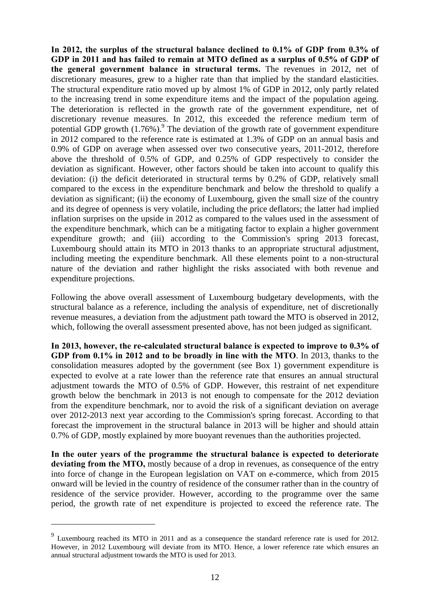**In 2012, the surplus of the structural balance declined to 0.1% of GDP from 0.3% of GDP in 2011 and has failed to remain at MTO defined as a surplus of 0.5% of GDP of the general government balance in structural terms.** The revenues in 2012, net of discretionary measures, grew to a higher rate than that implied by the standard elasticities. The structural expenditure ratio moved up by almost 1% of GDP in 2012, only partly related to the increasing trend in some expenditure items and the impact of the population ageing. The deterioration is reflected in the growth rate of the government expenditure, net of discretionary revenue measures. In 2012, this exceeded the reference medium term of potential GDP growth  $(1.76\%)$ .<sup>9</sup> The deviation of the growth rate of government expenditure in 2012 compared to the reference rate is estimated at 1.3% of GDP on an annual basis and 0.9% of GDP on average when assessed over two consecutive years, 2011-2012, therefore above the threshold of 0.5% of GDP, and 0.25% of GDP respectively to consider the deviation as significant. However, other factors should be taken into account to qualify this deviation: (i) the deficit deteriorated in structural terms by 0.2% of GDP, relatively small compared to the excess in the expenditure benchmark and below the threshold to qualify a deviation as significant; (ii) the economy of Luxembourg, given the small size of the country and its degree of openness is very volatile, including the price deflators; the latter had implied inflation surprises on the upside in 2012 as compared to the values used in the assessment of the expenditure benchmark, which can be a mitigating factor to explain a higher government expenditure growth; and (iii) according to the Commission's spring 2013 forecast, Luxembourg should attain its MTO in 2013 thanks to an appropriate structural adjustment, including meeting the expenditure benchmark. All these elements point to a non-structural nature of the deviation and rather highlight the risks associated with both revenue and expenditure projections.

Following the above overall assessment of Luxembourg budgetary developments, with the structural balance as a reference, including the analysis of expenditure, net of discretionally revenue measures, a deviation from the adjustment path toward the MTO is observed in 2012, which, following the overall assessment presented above, has not been judged as significant.

**In 2013, however, the re-calculated structural balance is expected to improve to 0.3% of GDP from 0.1% in 2012 and to be broadly in line with the MTO**. In 2013, thanks to the consolidation measures adopted by the government (see Box 1) government expenditure is expected to evolve at a rate lower than the reference rate that ensures an annual structural adjustment towards the MTO of 0.5% of GDP. However, this restraint of net expenditure growth below the benchmark in 2013 is not enough to compensate for the 2012 deviation from the expenditure benchmark, nor to avoid the risk of a significant deviation on average over 2012-2013 next year according to the Commission's spring forecast. According to that forecast the improvement in the structural balance in 2013 will be higher and should attain 0.7% of GDP, mostly explained by more buoyant revenues than the authorities projected.

**In the outer years of the programme the structural balance is expected to deteriorate deviating from the MTO,** mostly because of a drop in revenues, as consequence of the entry into force of change in the European legislation on VAT on e-commerce, which from 2015 onward will be levied in the country of residence of the consumer rather than in the country of residence of the service provider. However, according to the programme over the same period, the growth rate of net expenditure is projected to exceed the reference rate. The

<u>.</u>

<sup>9</sup> Luxembourg reached its MTO in 2011 and as a consequence the standard reference rate is used for 2012. However, in 2012 Luxembourg will deviate from its MTO. Hence, a lower reference rate which ensures an annual structural adjustment towards the MTO is used for 2013.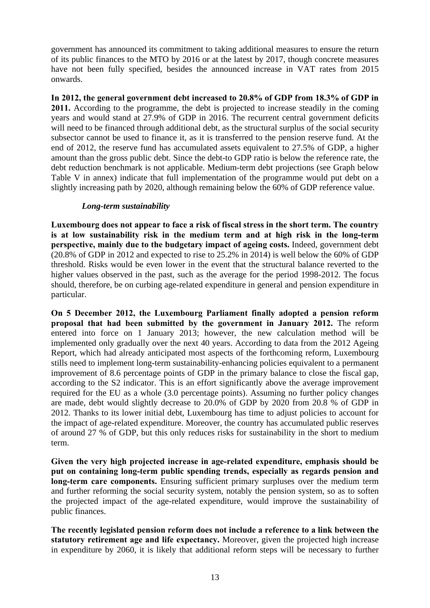government has announced its commitment to taking additional measures to ensure the return of its public finances to the MTO by 2016 or at the latest by 2017, though concrete measures have not been fully specified, besides the announced increase in VAT rates from 2015 onwards.

**In 2012, the general government debt increased to 20.8% of GDP from 18.3% of GDP in 2011.** According to the programme, the debt is projected to increase steadily in the coming years and would stand at 27.9% of GDP in 2016. The recurrent central government deficits will need to be financed through additional debt, as the structural surplus of the social security subsector cannot be used to finance it, as it is transferred to the pension reserve fund. At the end of 2012, the reserve fund has accumulated assets equivalent to 27.5% of GDP, a higher amount than the gross public debt. Since the debt-to GDP ratio is below the reference rate, the debt reduction benchmark is not applicable. Medium-term debt projections (see Graph below Table V in annex) indicate that full implementation of the programme would put debt on a slightly increasing path by 2020, although remaining below the 60% of GDP reference value.

## *Long-term sustainability*

**Luxembourg does not appear to face a risk of fiscal stress in the short term. The country is at low sustainability risk in the medium term and at high risk in the long-term perspective, mainly due to the budgetary impact of ageing costs.** Indeed, government debt (20.8% of GDP in 2012 and expected to rise to 25.2% in 2014) is well below the 60% of GDP threshold. Risks would be even lower in the event that the structural balance reverted to the higher values observed in the past, such as the average for the period 1998-2012. The focus should, therefore, be on curbing age-related expenditure in general and pension expenditure in particular.

**On 5 December 2012, the Luxembourg Parliament finally adopted a pension reform proposal that had been submitted by the government in January 2012.** The reform entered into force on 1 January 2013; however, the new calculation method will be implemented only gradually over the next 40 years. According to data from the 2012 Ageing Report, which had already anticipated most aspects of the forthcoming reform, Luxembourg stills need to implement long-term sustainability-enhancing policies equivalent to a permanent improvement of 8.6 percentage points of GDP in the primary balance to close the fiscal gap, according to the S2 indicator. This is an effort significantly above the average improvement required for the EU as a whole (3.0 percentage points). Assuming no further policy changes are made, debt would slightly decrease to 20.0% of GDP by 2020 from 20.8 % of GDP in 2012. Thanks to its lower initial debt, Luxembourg has time to adjust policies to account for the impact of age-related expenditure. Moreover, the country has accumulated public reserves of around 27 % of GDP, but this only reduces risks for sustainability in the short to medium term.

**Given the very high projected increase in age-related expenditure, emphasis should be put on containing long-term public spending trends, especially as regards pension and long-term care components.** Ensuring sufficient primary surpluses over the medium term and further reforming the social security system, notably the pension system, so as to soften the projected impact of the age-related expenditure, would improve the sustainability of public finances.

**The recently legislated pension reform does not include a reference to a link between the statutory retirement age and life expectancy.** Moreover, given the projected high increase in expenditure by 2060, it is likely that additional reform steps will be necessary to further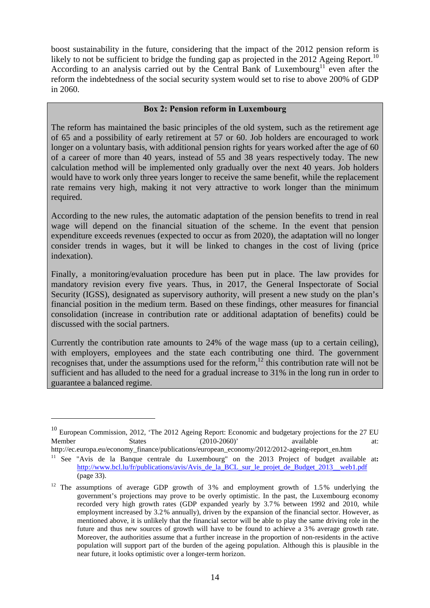boost sustainability in the future, considering that the impact of the 2012 pension reform is likely to not be sufficient to bridge the funding gap as projected in the 2012 Ageing Report.<sup>10</sup> According to an analysis carried out by the Central Bank of Luxembourg<sup>11</sup> even after the reform the indebtedness of the social security system would set to rise to above 200% of GDP in 2060.

## **Box 2: Pension reform in Luxembourg**

The reform has maintained the basic principles of the old system, such as the retirement age of 65 and a possibility of early retirement at 57 or 60. Job holders are encouraged to work longer on a voluntary basis, with additional pension rights for years worked after the age of 60 of a career of more than 40 years, instead of 55 and 38 years respectively today. The new calculation method will be implemented only gradually over the next 40 years. Job holders would have to work only three years longer to receive the same benefit, while the replacement rate remains very high, making it not very attractive to work longer than the minimum required.

According to the new rules, the automatic adaptation of the pension benefits to trend in real wage will depend on the financial situation of the scheme. In the event that pension expenditure exceeds revenues (expected to occur as from 2020), the adaptation will no longer consider trends in wages, but it will be linked to changes in the cost of living (price indexation).

Finally, a monitoring/evaluation procedure has been put in place. The law provides for mandatory revision every five years. Thus, in 2017, the General Inspectorate of Social Security (IGSS), designated as supervisory authority, will present a new study on the plan's financial position in the medium term. Based on these findings, other measures for financial consolidation (increase in contribution rate or additional adaptation of benefits) could be discussed with the social partners.

Currently the contribution rate amounts to 24% of the wage mass (up to a certain ceiling), with employers, employees and the state each contributing one third. The government recognises that, under the assumptions used for the reform,  $12$  this contribution rate will not be sufficient and has alluded to the need for a gradual increase to 31% in the long run in order to guarantee a balanced regime.

1

<sup>&</sup>lt;sup>10</sup> European Commission, 2012, 'The 2012 Ageing Report: Economic and budgetary projections for the 27 EU Member States (2010-2060)' available at:

[http://ec.europa.eu/economy\\_finance/publications/european\\_economy/2012/2012-ageing-report\\_en.htm](http://ec.europa.eu/economy_finance/publications/european_economy/2012/2012-ageing-report_en.htm)

<sup>&</sup>lt;sup>11</sup> See "Avis de la Banque centrale du Luxembourg" on the 2013 Project of budget available at: [http://www.bcl.lu/fr/publications/avis/Avis\\_de\\_la\\_BCL\\_sur\\_le\\_projet\\_de\\_Budget\\_2013\\_\\_web1.pdf](http://www.bcl.lu/fr/publications/avis/Avis_de_la_BCL_sur_le_projet_de_Budget_2013__web1.pdf) (page 33).

<sup>&</sup>lt;sup>12</sup> The assumptions of average GDP growth of 3% and employment growth of 1.5% underlying the government's projections may prove to be overly optimistic. In the past, the Luxembourg economy recorded very high growth rates (GDP expanded yearly by 3.7% between 1992 and 2010, while employment increased by 3.2% annually), driven by the expansion of the financial sector. However, as mentioned above, it is unlikely that the financial sector will be able to play the same driving role in the future and thus new sources of growth will have to be found to achieve a 3% average growth rate. Moreover, the authorities assume that a further increase in the proportion of non-residents in the active population will support part of the burden of the ageing population. Although this is plausible in the near future, it looks optimistic over a longer-term horizon.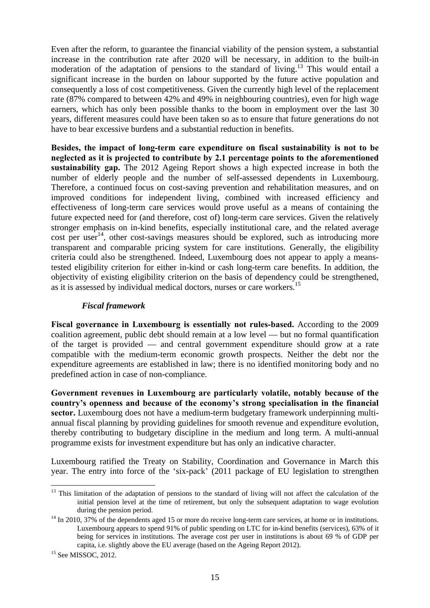Even after the reform, to guarantee the financial viability of the pension system, a substantial increase in the contribution rate after 2020 will be necessary, in addition to the built-in moderation of the adaptation of pensions to the standard of living.13 This would entail a significant increase in the burden on labour supported by the future active population and consequently a loss of cost competitiveness. Given the currently high level of the replacement rate (87% compared to between 42% and 49% in neighbouring countries), even for high wage earners, which has only been possible thanks to the boom in employment over the last 30 years, different measures could have been taken so as to ensure that future generations do not have to bear excessive burdens and a substantial reduction in benefits.

**Besides, the impact of long-term care expenditure on fiscal sustainability is not to be neglected as it is projected to contribute by 2.1 percentage points to the aforementioned sustainability gap.** The 2012 Ageing Report shows a high expected increase in both the number of elderly people and the number of self-assessed dependents in Luxembourg. Therefore, a continued focus on cost-saving prevention and rehabilitation measures, and on improved conditions for independent living, combined with increased efficiency and effectiveness of long-term care services would prove useful as a means of containing the future expected need for (and therefore, cost of) long-term care services. Given the relatively stronger emphasis on in-kind benefits, especially institutional care, and the related average  $\cot$  per user<sup>14</sup>, other cost-savings measures should be explored, such as introducing more transparent and comparable pricing system for care institutions. Generally, the eligibility criteria could also be strengthened. Indeed, Luxembourg does not appear to apply a meanstested eligibility criterion for either in-kind or cash long-term care benefits. In addition, the objectivity of existing eligibility criterion on the basis of dependency could be strengthened, as it is assessed by individual medical doctors, nurses or care workers.<sup>15</sup>

### *Fiscal framework*

**Fiscal governance in Luxembourg is essentially not rules-based.** According to the 2009 coalition agreement, public debt should remain at a low level — but no formal quantification of the target is provided — and central government expenditure should grow at a rate compatible with the medium-term economic growth prospects. Neither the debt nor the expenditure agreements are established in law; there is no identified monitoring body and no predefined action in case of non-compliance.

**Government revenues in Luxembourg are particularly volatile, notably because of the country's openness and because of the economy's strong specialisation in the financial sector.** Luxembourg does not have a medium-term budgetary framework underpinning multiannual fiscal planning by providing guidelines for smooth revenue and expenditure evolution, thereby contributing to budgetary discipline in the medium and long term. A multi-annual programme exists for investment expenditure but has only an indicative character.

Luxembourg ratified the Treaty on Stability, Coordination and Governance in March this year. The entry into force of the 'six-pack' (2011 package of EU legislation to strengthen

<sup>1</sup> <sup>13</sup> This limitation of the adaptation of pensions to the standard of living will not affect the calculation of the initial pension level at the time of retirement, but only the subsequent adaptation to wage evolution during the pension period.<br><sup>14</sup> In 2010, 37% of the dependents aged 15 or more do receive long-term care services, at home or in institutions.

Luxembourg appears to spend 91% of public spending on LTC for in-kind benefits (services), 63% of it being for services in institutions. The average cost per user in institutions is about 69 % of GDP per capita, i.e. slightly above the EU average (based on the Ageing Report 2012).

<sup>&</sup>lt;sup>15</sup> See MISSOC, 2012.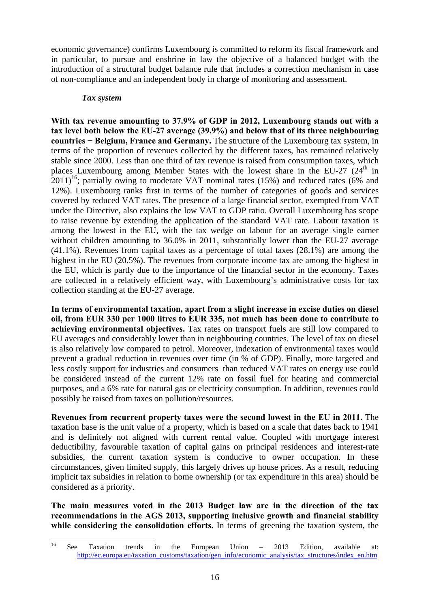economic governance) confirms Luxembourg is committed to reform its fiscal framework and in particular, to pursue and enshrine in law the objective of a balanced budget with the introduction of a structural budget balance rule that includes a correction mechanism in case of non-compliance and an independent body in charge of monitoring and assessment.

### *Tax system*

**With tax revenue amounting to 37.9% of GDP in 2012, Luxembourg stands out with a tax level both below the EU-27 average (39.9%) and below that of its three neighbouring countries − Belgium, France and Germany.** The structure of the Luxembourg tax system, in terms of the proportion of revenues collected by the different taxes, has remained relatively stable since 2000. Less than one third of tax revenue is raised from consumption taxes, which places Luxembourg among Member States with the lowest share in the EU-27 (24<sup>th</sup> in  $2011$ <sup>16</sup>; partially owing to moderate VAT nominal rates (15%) and reduced rates (6% and 12%). Luxembourg ranks first in terms of the number of categories of goods and services covered by reduced VAT rates. The presence of a large financial sector, exempted from VAT under the Directive, also explains the low VAT to GDP ratio. Overall Luxembourg has scope to raise revenue by extending the application of the standard VAT rate. Labour taxation is among the lowest in the EU, with the tax wedge on labour for an average single earner without children amounting to 36.0% in 2011, substantially lower than the EU-27 average (41.1%). Revenues from capital taxes as a percentage of total taxes (28.1%) are among the highest in the EU (20.5%). The revenues from corporate income tax are among the highest in the EU, which is partly due to the importance of the financial sector in the economy. Taxes are collected in a relatively efficient way, with Luxembourg's administrative costs for tax collection standing at the EU-27 average.

**In terms of environmental taxation, apart from a slight increase in excise duties on diesel oil, from EUR 330 per 1000 litres to EUR 335, not much has been done to contribute to achieving environmental objectives.** Tax rates on transport fuels are still low compared to EU averages and considerably lower than in neighbouring countries. The level of tax on diesel is also relatively low compared to petrol. Moreover, indexation of environmental taxes would prevent a gradual reduction in revenues over time (in % of GDP). Finally, more targeted and less costly support for industries and consumers than reduced VAT rates on energy use could be considered instead of the current 12% rate on fossil fuel for heating and commercial purposes, and a 6% rate for natural gas or electricity consumption. In addition, revenues could possibly be raised from taxes on pollution/resources.

**Revenues from recurrent property taxes were the second lowest in the EU in 2011.** The taxation base is the unit value of a property, which is based on a scale that dates back to 1941 and is definitely not aligned with current rental value. Coupled with mortgage interest deductibility, favourable taxation of capital gains on principal residences and interest-rate subsidies, the current taxation system is conducive to owner occupation. In these circumstances, given limited supply, this largely drives up house prices. As a result, reducing implicit tax subsidies in relation to home ownership (or tax expenditure in this area) should be considered as a priority.

**The main measures voted in the 2013 Budget law are in the direction of the tax recommendations in the AGS 2013, supporting inclusive growth and financial stability while considering the consolidation efforts.** In terms of greening the taxation system, the

 $16$ <sup>16</sup> See Taxation trends in the European Union – 2013 Edition, available at: [http://ec.europa.eu/taxation\\_customs/taxation/gen\\_info/economic\\_analysis/tax\\_structures/index\\_en.htm](http://ec.europa.eu/taxation_customs/taxation/gen_info/economic_analysis/tax_structures/index_en.htm)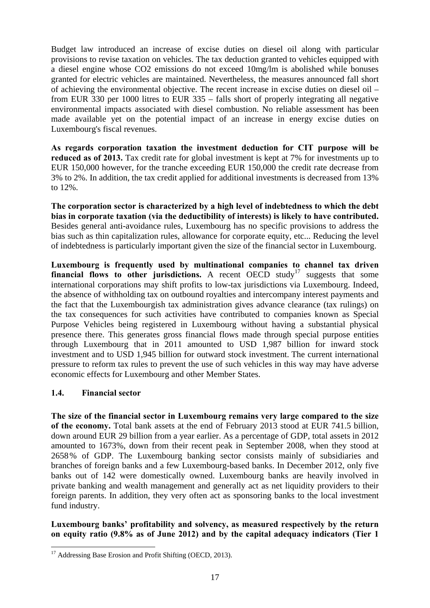Budget law introduced an increase of excise duties on diesel oil along with particular provisions to revise taxation on vehicles. The tax deduction granted to vehicles equipped with a diesel engine whose CO2 emissions do not exceed 10mg/lm is abolished while bonuses granted for electric vehicles are maintained. Nevertheless, the measures announced fall short of achieving the environmental objective. The recent increase in excise duties on diesel oil – from EUR 330 per 1000 litres to EUR 335 – falls short of properly integrating all negative environmental impacts associated with diesel combustion. No reliable assessment has been made available yet on the potential impact of an increase in energy excise duties on Luxembourg's fiscal revenues.

**As regards corporation taxation the investment deduction for CIT purpose will be reduced as of 2013.** Tax credit rate for global investment is kept at 7% for investments up to EUR 150,000 however, for the tranche exceeding EUR 150,000 the credit rate decrease from 3% to 2%. In addition, the tax credit applied for additional investments is decreased from 13% to 12%.

**The corporation sector is characterized by a high level of indebtedness to which the debt bias in corporate taxation (via the deductibility of interests) is likely to have contributed.**  Besides general anti-avoidance rules, Luxembourg has no specific provisions to address the bias such as thin capitalization rules, allowance for corporate equity, etc... Reducing the level of indebtedness is particularly important given the size of the financial sector in Luxembourg.

**Luxembourg is frequently used by multinational companies to channel tax driven financial flows to other jurisdictions.** A recent  $\overline{OECD}$  study<sup>17</sup> suggests that some international corporations may shift profits to low-tax jurisdictions via Luxembourg. Indeed, the absence of withholding tax on outbound royalties and intercompany interest payments and the fact that the Luxembourgish tax administration gives advance clearance (tax rulings) on the tax consequences for such activities have contributed to companies known as Special Purpose Vehicles being registered in Luxembourg without having a substantial physical presence there. This generates gross financial flows made through special purpose entities through Luxembourg that in 2011 amounted to USD 1,987 billion for inward stock investment and to USD 1,945 billion for outward stock investment. The current international pressure to reform tax rules to prevent the use of such vehicles in this way may have adverse economic effects for Luxembourg and other Member States.

## <span id="page-16-0"></span>**1.4. Financial sector**

**The size of the financial sector in Luxembourg remains very large compared to the size of the economy.** Total bank assets at the end of February 2013 stood at EUR 741.5 billion, down around EUR 29 billion from a year earlier. As a percentage of GDP, total assets in 2012 amounted to 1673%, down from their recent peak in September 2008, when they stood at 2658% of GDP. The Luxembourg banking sector consists mainly of subsidiaries and branches of foreign banks and a few Luxembourg-based banks. In December 2012, only five banks out of 142 were domestically owned. Luxembourg banks are heavily involved in private banking and wealth management and generally act as net liquidity providers to their foreign parents. In addition, they very often act as sponsoring banks to the local investment fund industry.

## **Luxembourg banks' profitability and solvency, as measured respectively by the return on equity ratio (9.8% as of June 2012) and by the capital adequacy indicators (Tier 1**

<sup>1</sup> <sup>17</sup> Addressing Base Erosion and Profit Shifting (OECD, 2013).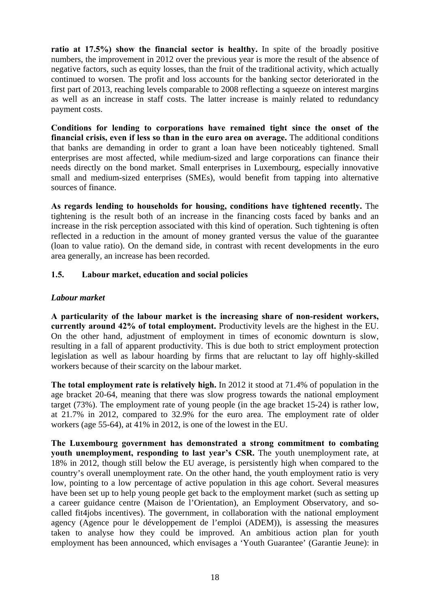ratio at 17.5%) show the financial sector is healthy. In spite of the broadly positive numbers, the improvement in 2012 over the previous year is more the result of the absence of negative factors, such as equity losses, than the fruit of the traditional activity, which actually continued to worsen. The profit and loss accounts for the banking sector deteriorated in the first part of 2013, reaching levels comparable to 2008 reflecting a squeeze on interest margins as well as an increase in staff costs. The latter increase is mainly related to redundancy payment costs.

**Conditions for lending to corporations have remained tight since the onset of the financial crisis, even if less so than in the euro area on average.** The additional conditions that banks are demanding in order to grant a loan have been noticeably tightened. Small enterprises are most affected, while medium-sized and large corporations can finance their needs directly on the bond market. Small enterprises in Luxembourg, especially innovative small and medium-sized enterprises (SMEs), would benefit from tapping into alternative sources of finance.

**As regards lending to households for housing, conditions have tightened recently.** The tightening is the result both of an increase in the financing costs faced by banks and an increase in the risk perception associated with this kind of operation. Such tightening is often reflected in a reduction in the amount of money granted versus the value of the guarantee (loan to value ratio). On the demand side, in contrast with recent developments in the euro area generally, an increase has been recorded.

## <span id="page-17-0"></span>**1.5. Labour market, education and social policies**

## *Labour market*

**A particularity of the labour market is the increasing share of non-resident workers, currently around 42% of total employment.** Productivity levels are the highest in the EU. On the other hand, adjustment of employment in times of economic downturn is slow, resulting in a fall of apparent productivity. This is due both to strict employment protection legislation as well as labour hoarding by firms that are reluctant to lay off highly-skilled workers because of their scarcity on the labour market.

**The total employment rate is relatively high.** In 2012 it stood at 71.4% of population in the age bracket 20-64, meaning that there was slow progress towards the national employment target (73%). The employment rate of young people (in the age bracket 15-24) is rather low, at 21.7% in 2012, compared to 32.9% for the euro area. The employment rate of older workers (age 55-64), at 41% in 2012, is one of the lowest in the EU.

**The Luxembourg government has demonstrated a strong commitment to combating youth unemployment, responding to last year's CSR.** The youth unemployment rate, at 18% in 2012, though still below the EU average, is persistently high when compared to the country's overall unemployment rate. On the other hand, the youth employment ratio is very low, pointing to a low percentage of active population in this age cohort. Several measures have been set up to help young people get back to the employment market (such as setting up a career guidance centre (Maison de l'Orientation), an Employment Observatory, and socalled fit4jobs incentives). The government, in collaboration with the national employment agency (Agence pour le développement de l'emploi (ADEM)), is assessing the measures taken to analyse how they could be improved. An ambitious action plan for youth employment has been announced, which envisages a 'Youth Guarantee' (Garantie Jeune): in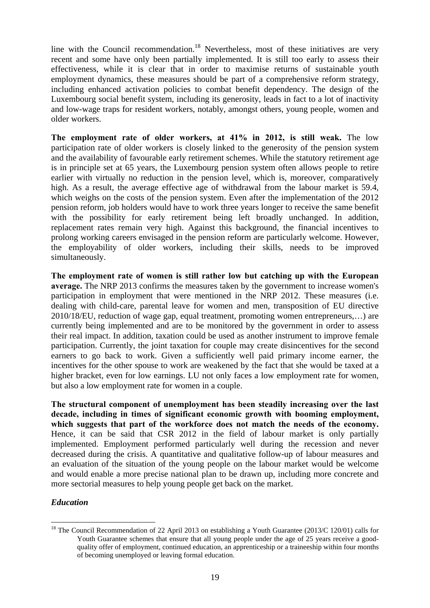line with the Council recommendation.<sup>18</sup> Nevertheless, most of these initiatives are very recent and some have only been partially implemented. It is still too early to assess their effectiveness, while it is clear that in order to maximise returns of sustainable youth employment dynamics, these measures should be part of a comprehensive reform strategy, including enhanced activation policies to combat benefit dependency. The design of the Luxembourg social benefit system, including its generosity, leads in fact to a lot of inactivity and low-wage traps for resident workers, notably, amongst others, young people, women and older workers.

**The employment rate of older workers, at 41% in 2012, is still weak.** The low participation rate of older workers is closely linked to the generosity of the pension system and the availability of favourable early retirement schemes. While the statutory retirement age is in principle set at 65 years, the Luxembourg pension system often allows people to retire earlier with virtually no reduction in the pension level, which is, moreover, comparatively high. As a result, the average effective age of withdrawal from the labour market is 59.4, which weighs on the costs of the pension system. Even after the implementation of the 2012 pension reform, job holders would have to work three years longer to receive the same benefit with the possibility for early retirement being left broadly unchanged. In addition, replacement rates remain very high. Against this background, the financial incentives to prolong working careers envisaged in the pension reform are particularly welcome. However, the employability of older workers, including their skills, needs to be improved simultaneously.

**The employment rate of women is still rather low but catching up with the European average.** The NRP 2013 confirms the measures taken by the government to increase women's participation in employment that were mentioned in the NRP 2012. These measures (i.e. dealing with child-care, parental leave for women and men, transposition of EU directive 2010/18/EU, reduction of wage gap, equal treatment, promoting women entrepreneurs,…) are currently being implemented and are to be monitored by the government in order to assess their real impact. In addition, taxation could be used as another instrument to improve female participation. Currently, the joint taxation for couple may create disincentives for the second earners to go back to work. Given a sufficiently well paid primary income earner, the incentives for the other spouse to work are weakened by the fact that she would be taxed at a higher bracket, even for low earnings. LU not only faces a low employment rate for women, but also a low employment rate for women in a couple.

**The structural component of unemployment has been steadily increasing over the last decade, including in times of significant economic growth with booming employment, which suggests that part of the workforce does not match the needs of the economy.** Hence, it can be said that CSR 2012 in the field of labour market is only partially implemented. Employment performed particularly well during the recession and never decreased during the crisis. A quantitative and qualitative follow-up of labour measures and an evaluation of the situation of the young people on the labour market would be welcome and would enable a more precise national plan to be drawn up, including more concrete and more sectorial measures to help young people get back on the market.

## *Education*

1

<sup>&</sup>lt;sup>18</sup> The Council Recommendation of 22 April 2013 on establishing a Youth Guarantee (2013/C 120/01) calls for Youth Guarantee schemes that ensure that all young people under the age of 25 years receive a goodquality offer of employment, continued education, an apprenticeship or a traineeship within four months of becoming unemployed or leaving formal education.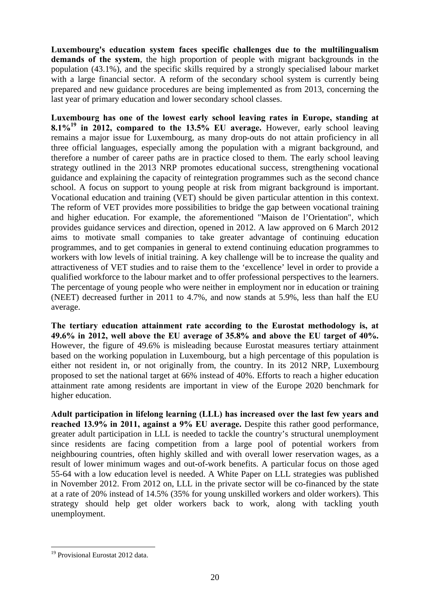**Luxembourg's education system faces specific challenges due to the multilingualism demands of the system**, the high proportion of people with migrant backgrounds in the population (43.1%), and the specific skills required by a strongly specialised labour market with a large financial sector. A reform of the secondary school system is currently being prepared and new guidance procedures are being implemented as from 2013, concerning the last year of primary education and lower secondary school classes.

**Luxembourg has one of the lowest early school leaving rates in Europe, standing at 8.1%19 in 2012, compared to the 13.5% EU average.** However, early school leaving remains a major issue for Luxembourg, as many drop-outs do not attain proficiency in all three official languages, especially among the population with a migrant background, and therefore a number of career paths are in practice closed to them. The early school leaving strategy outlined in the 2013 NRP promotes educational success, strengthening vocational guidance and explaining the capacity of reintegration programmes such as the second chance school. A focus on support to young people at risk from migrant background is important. Vocational education and training (VET) should be given particular attention in this context. The reform of VET provides more possibilities to bridge the gap between vocational training and higher education. For example, the aforementioned "Maison de l'Orientation", which provides guidance services and direction, opened in 2012. A law approved on 6 March 2012 aims to motivate small companies to take greater advantage of continuing education programmes, and to get companies in general to extend continuing education programmes to workers with low levels of initial training. A key challenge will be to increase the quality and attractiveness of VET studies and to raise them to the 'excellence' level in order to provide a qualified workforce to the labour market and to offer professional perspectives to the learners. The percentage of young people who were neither in employment nor in education or training (NEET) decreased further in 2011 to 4.7%, and now stands at 5.9%, less than half the EU average.

**The tertiary education attainment rate according to the Eurostat methodology is, at 49.6% in 2012, well above the EU average of 35.8% and above the EU target of 40%.** However, the figure of 49.6% is misleading because Eurostat measures tertiary attainment based on the working population in Luxembourg, but a high percentage of this population is either not resident in, or not originally from, the country. In its 2012 NRP, Luxembourg proposed to set the national target at 66% instead of 40%. Efforts to reach a higher education attainment rate among residents are important in view of the Europe 2020 benchmark for higher education.

**Adult participation in lifelong learning (LLL) has increased over the last few years and reached 13.9% in 2011, against a 9% EU average.** Despite this rather good performance, greater adult participation in LLL is needed to tackle the country's structural unemployment since residents are facing competition from a large pool of potential workers from neighbouring countries, often highly skilled and with overall lower reservation wages, as a result of lower minimum wages and out-of-work benefits. A particular focus on those aged 55-64 with a low education level is needed. A White Paper on LLL strategies was published in November 2012. From 2012 on, LLL in the private sector will be co-financed by the state at a rate of 20% instead of 14.5% (35% for young unskilled workers and older workers). This strategy should help get older workers back to work, along with tackling youth unemployment.

<sup>1</sup> 19 Provisional Eurostat 2012 data.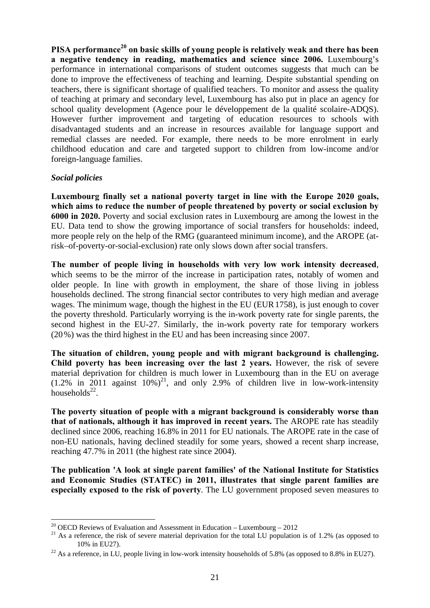PISA performance<sup>20</sup> on basic skills of young people is relatively weak and there has been **a negative tendency in reading, mathematics and science since 2006.** Luxembourg's performance in international comparisons of student outcomes suggests that much can be done to improve the effectiveness of teaching and learning. Despite substantial spending on teachers, there is significant shortage of qualified teachers. To monitor and assess the quality of teaching at primary and secondary level, Luxembourg has also put in place an agency for school quality development (Agence pour le développement de la qualité scolaire-ADQS). However further improvement and targeting of education resources to schools with disadvantaged students and an increase in resources available for language support and remedial classes are needed. For example, there needs to be more enrolment in early childhood education and care and targeted support to children from low-income and/or foreign-language families.

## *Social policies*

1

**Luxembourg finally set a national poverty target in line with the Europe 2020 goals, which aims to reduce the number of people threatened by poverty or social exclusion by 6000 in 2020.** Poverty and social exclusion rates in Luxembourg are among the lowest in the EU. Data tend to show the growing importance of social transfers for households: indeed, more people rely on the help of the RMG (guaranteed minimum income), and the AROPE (atrisk–of-poverty-or-social-exclusion) rate only slows down after social transfers.

**The number of people living in households with very low work intensity decreased**, which seems to be the mirror of the increase in participation rates, notably of women and older people. In line with growth in employment, the share of those living in jobless households declined. The strong financial sector contributes to very high median and average wages. The minimum wage, though the highest in the EU (EUR1758), is just enough to cover the poverty threshold. Particularly worrying is the in-work poverty rate for single parents, the second highest in the EU-27. Similarly, the in-work poverty rate for temporary workers (20%) was the third highest in the EU and has been increasing since 2007.

**The situation of children, young people and with migrant background is challenging. Child poverty has been increasing over the last 2 years.** However, the risk of severe material deprivation for children is much lower in Luxembourg than in the EU on average  $(1.2\%$  in 2011 against  $10\%)^{21}$ , and only 2.9% of children live in low-work-intensity households $^{22}$ .

**The poverty situation of people with a migrant background is considerably worse than that of nationals, although it has improved in recent years.** The AROPE rate has steadily declined since 2006, reaching 16.8% in 2011 for EU nationals. The AROPE rate in the case of non-EU nationals, having declined steadily for some years, showed a recent sharp increase, reaching 47.7% in 2011 (the highest rate since 2004).

**The publication 'A look at single parent families' of the National Institute for Statistics and Economic Studies (STATEC) in 2011, illustrates that single parent families are especially exposed to the risk of poverty**. The LU government proposed seven measures to

<sup>&</sup>lt;sup>20</sup> OECD Reviews of Evaluation and Assessment in Education – Luxembourg – 2012

 $21$  As a reference, the risk of severe material deprivation for the total LU population is of 1.2% (as opposed to 10% in EU27).<br><sup>22</sup> As a reference, in LU, people living in low-work intensity households of 5.8% (as opposed to 8.8% in EU27).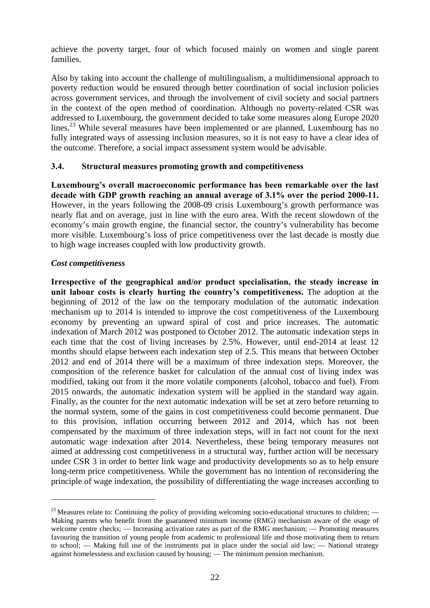achieve the poverty target, four of which focused mainly on women and single parent families.

Also by taking into account the challenge of multilingualism, a multidimensional approach to poverty reduction would be ensured through better coordination of social inclusion policies across government services, and through the involvement of civil society and social partners in the context of the open method of coordination. Although no poverty-related CSR was addressed to Luxembourg, the government decided to take some measures along Europe 2020 lines.<sup>23</sup> While several measures have been implemented or are planned, Luxembourg has no fully integrated ways of assessing inclusion measures, so it is not easy to have a clear idea of the outcome. Therefore, a social impact assessment system would be advisable.

## <span id="page-21-0"></span>**3.4. Structural measures promoting growth and competitiveness**

**Luxembourg's overall macroeconomic performance has been remarkable over the last decade with GDP growth reaching an annual average of 3.1% over the period 2000-11.** However, in the years following the 2008-09 crisis Luxembourg's growth performance was nearly flat and on average, just in line with the euro area. With the recent slowdown of the economy's main growth engine, the financial sector, the country's vulnerability has become more visible. Luxembourg's loss of price competitiveness over the last decade is mostly due to high wage increases coupled with low productivity growth.

## *Cost competitiveness*

1

**Irrespective of the geographical and/or product specialisation, the steady increase in unit labour costs is clearly hurting the country's competitiveness.** The adoption at the beginning of 2012 of the law on the temporary modulation of the automatic indexation mechanism up to 2014 is intended to improve the cost competitiveness of the Luxembourg economy by preventing an upward spiral of cost and price increases. The automatic indexation of March 2012 was postponed to October 2012. The automatic indexation steps in each time that the cost of living increases by 2.5%. However, until end-2014 at least 12 months should elapse between each indexation step of 2.5. This means that between October 2012 and end of 2014 there will be a maximum of three indexation steps. Moreover, the composition of the reference basket for calculation of the annual cost of living index was modified, taking out from it the more volatile components (alcohol, tobacco and fuel). From 2015 onwards, the automatic indexation system will be applied in the standard way again. Finally, as the counter for the next automatic indexation will be set at zero before returning to the normal system, some of the gains in cost competitiveness could become permanent. Due to this provision, inflation occurring between 2012 and 2014, which has not been compensated by the maximum of three indexation steps, will in fact not count for the next automatic wage indexation after 2014. Nevertheless, these being temporary measures not aimed at addressing cost competitiveness in a structural way, further action will be necessary under CSR 3 in order to better link wage and productivity developments so as to help ensure long-term price competitiveness. While the government has no intention of reconsidering the principle of wage indexation, the possibility of differentiating the wage increases according to

 $^{23}$  Measures relate to: Continuing the policy of providing welcoming socio-educational structures to children; — Making parents who benefit from the guaranteed minimum income (RMG) mechanism aware of the usage of welcome centre checks; — Increasing activation rates as part of the RMG mechanism; — Promoting measures favouring the transition of young people from academic to professional life and those motivating them to return to school; — Making full use of the instruments put in place under the social aid law; — National strategy against homelessness and exclusion caused by housing; — The minimum pension mechanism.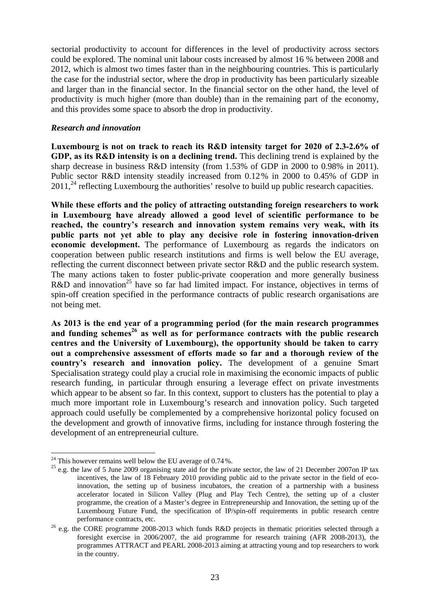sectorial productivity to account for differences in the level of productivity across sectors could be explored. The nominal unit labour costs increased by almost 16 % between 2008 and 2012, which is almost two times faster than in the neighbouring countries. This is particularly the case for the industrial sector, where the drop in productivity has been particularly sizeable and larger than in the financial sector. In the financial sector on the other hand, the level of productivity is much higher (more than double) than in the remaining part of the economy, and this provides some space to absorb the drop in productivity.

## *Research and innovation*

**Luxembourg is not on track to reach its R&D intensity target for 2020 of 2.3-2.6% of GDP, as its R&D intensity is on a declining trend.** This declining trend is explained by the sharp decrease in business R&D intensity (from 1.53% of GDP in 2000 to 0.98% in 2011). Public sector R&D intensity steadily increased from 0.12% in 2000 to 0.45% of GDP in  $2011<sup>24</sup>$  reflecting Luxembourg the authorities' resolve to build up public research capacities.

**While these efforts and the policy of attracting outstanding foreign researchers to work in Luxembourg have already allowed a good level of scientific performance to be reached, the country's research and innovation system remains very weak, with its public parts not yet able to play any decisive role in fostering innovation-driven economic development.** The performance of Luxembourg as regards the indicators on cooperation between public research institutions and firms is well below the EU average, reflecting the current disconnect between private sector R&D and the public research system. The many actions taken to foster public-private cooperation and more generally business R&D and innovation<sup>25</sup> have so far had limited impact. For instance, objectives in terms of spin-off creation specified in the performance contracts of public research organisations are not being met.

**As 2013 is the end year of a programming period (for the main research programmes**  and funding schemes<sup>26</sup> as well as for performance contracts with the public research **centres and the University of Luxembourg), the opportunity should be taken to carry out a comprehensive assessment of efforts made so far and a thorough review of the country's research and innovation policy.** The development of a genuine Smart Specialisation strategy could play a crucial role in maximising the economic impacts of public research funding, in particular through ensuring a leverage effect on private investments which appear to be absent so far. In this context, support to clusters has the potential to play a much more important role in Luxembourg's research and innovation policy. Such targeted approach could usefully be complemented by a comprehensive horizontal policy focused on the development and growth of innovative firms, including for instance through fostering the development of an entrepreneurial culture.

1

<sup>&</sup>lt;sup>24</sup> This however remains well below the EU average of 0.74%.<br><sup>25</sup> e.g. the law of 5 June 2009 organising state aid for the private sector, the law of 21 December 2007on IP tax incentives, the law of 18 February 2010 providing public aid to the private sector in the field of ecoinnovation, the setting up of business incubators, the creation of a partnership with a business accelerator located in Silicon Valley (Plug and Play Tech Centre), the setting up of a cluster programme, the creation of a Master's degree in Entrepreneurship and Innovation, the setting up of the Luxembourg Future Fund, the specification of IP/spin-off requirements in public research centre performance contracts, etc.<br><sup>26</sup> e.g. the CORE programme 2008-2013 which funds R&D projects in thematic priorities selected through a

foresight exercise in 2006/2007, the aid programme for research training (AFR 2008-2013), the programmes ATTRACT and PEARL 2008-2013 aiming at attracting young and top researchers to work in the country.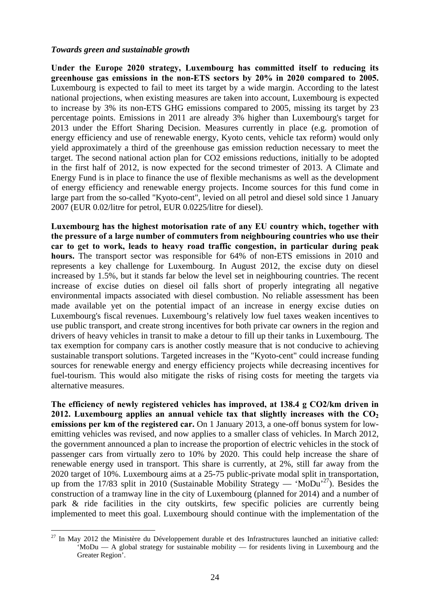#### *Towards green and sustainable growth*

1

**Under the Europe 2020 strategy, Luxembourg has committed itself to reducing its greenhouse gas emissions in the non-ETS sectors by 20% in 2020 compared to 2005.** Luxembourg is expected to fail to meet its target by a wide margin. According to the latest national projections, when existing measures are taken into account, Luxembourg is expected to increase by 3% its non-ETS GHG emissions compared to 2005, missing its target by 23 percentage points. Emissions in 2011 are already 3% higher than Luxembourg's target for 2013 under the Effort Sharing Decision. Measures currently in place (e.g. promotion of energy efficiency and use of renewable energy, Kyoto cents, vehicle tax reform) would only yield approximately a third of the greenhouse gas emission reduction necessary to meet the target. The second national action plan for CO2 emissions reductions, initially to be adopted in the first half of 2012, is now expected for the second trimester of 2013. A Climate and Energy Fund is in place to finance the use of flexible mechanisms as well as the development of energy efficiency and renewable energy projects. Income sources for this fund come in large part from the so-called "Kyoto-cent", levied on all petrol and diesel sold since 1 January 2007 (EUR 0.02/litre for petrol, EUR 0.0225/litre for diesel).

**Luxembourg has the highest motorisation rate of any EU country which, together with the pressure of a large number of commuters from neighbouring countries who use their car to get to work, leads to heavy road traffic congestion, in particular during peak hours.** The transport sector was responsible for 64% of non-ETS emissions in 2010 and represents a key challenge for Luxembourg. In August 2012, the excise duty on diesel increased by 1.5%, but it stands far below the level set in neighbouring countries. The recent increase of excise duties on diesel oil falls short of properly integrating all negative environmental impacts associated with diesel combustion. No reliable assessment has been made available yet on the potential impact of an increase in energy excise duties on Luxembourg's fiscal revenues. Luxembourg's relatively low fuel taxes weaken incentives to use public transport, and create strong incentives for both private car owners in the region and drivers of heavy vehicles in transit to make a detour to fill up their tanks in Luxembourg. The tax exemption for company cars is another costly measure that is not conducive to achieving sustainable transport solutions. Targeted increases in the "Kyoto-cent" could increase funding sources for renewable energy and energy efficiency projects while decreasing incentives for fuel-tourism. This would also mitigate the risks of rising costs for meeting the targets via alternative measures.

**The efficiency of newly registered vehicles has improved, at 138.4 g CO2/km driven in**  2012. Luxembourg applies an annual vehicle tax that slightly increases with the  $CO<sub>2</sub>$ **emissions per km of the registered car.** On 1 January 2013, a one-off bonus system for lowemitting vehicles was revised, and now applies to a smaller class of vehicles. In March 2012, the government announced a plan to increase the proportion of electric vehicles in the stock of passenger cars from virtually zero to 10% by 2020. This could help increase the share of renewable energy used in transport. This share is currently, at 2%, still far away from the 2020 target of 10%. Luxembourg aims at a 25-75 public-private modal split in transportation, up from the 17/83 split in 2010 (Sustainable Mobility Strategy — 'MoDu'<sup>27</sup>). Besides the construction of a tramway line in the city of Luxembourg (planned for 2014) and a number of park & ride facilities in the city outskirts, few specific policies are currently being implemented to meet this goal. Luxembourg should continue with the implementation of the

 $27$  In May 2012 the Ministère du Développement durable et des Infrastructures launched an initiative called: 'MoDu — A global strategy for sustainable mobility — for residents living in Luxembourg and the Greater Region'.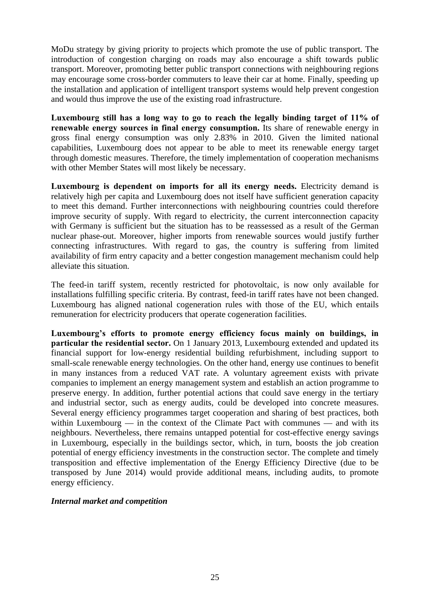MoDu strategy by giving priority to projects which promote the use of public transport. The introduction of congestion charging on roads may also encourage a shift towards public transport. Moreover, promoting better public transport connections with neighbouring regions may encourage some cross-border commuters to leave their car at home. Finally, speeding up the installation and application of intelligent transport systems would help prevent congestion and would thus improve the use of the existing road infrastructure.

**Luxembourg still has a long way to go to reach the legally binding target of 11% of renewable energy sources in final energy consumption.** Its share of renewable energy in gross final energy consumption was only 2.83% in 2010. Given the limited national capabilities, Luxembourg does not appear to be able to meet its renewable energy target through domestic measures. Therefore, the timely implementation of cooperation mechanisms with other Member States will most likely be necessary.

Luxembourg is dependent on imports for all its energy needs. Electricity demand is relatively high per capita and Luxembourg does not itself have sufficient generation capacity to meet this demand. Further interconnections with neighbouring countries could therefore improve security of supply. With regard to electricity, the current interconnection capacity with Germany is sufficient but the situation has to be reassessed as a result of the German nuclear phase-out. Moreover, higher imports from renewable sources would justify further connecting infrastructures. With regard to gas, the country is suffering from limited availability of firm entry capacity and a better congestion management mechanism could help alleviate this situation.

The feed-in tariff system, recently restricted for photovoltaic, is now only available for installations fulfilling specific criteria. By contrast, feed-in tariff rates have not been changed. Luxembourg has aligned national cogeneration rules with those of the EU, which entails remuneration for electricity producers that operate cogeneration facilities.

**Luxembourg's efforts to promote energy efficiency focus mainly on buildings, in particular the residential sector.** On 1 January 2013, Luxembourg extended and updated its financial support for low-energy residential building refurbishment, including support to small-scale renewable energy technologies. On the other hand, energy use continues to benefit in many instances from a reduced VAT rate. A voluntary agreement exists with private companies to implement an energy management system and establish an action programme to preserve energy. In addition, further potential actions that could save energy in the tertiary and industrial sector, such as energy audits, could be developed into concrete measures. Several energy efficiency programmes target cooperation and sharing of best practices, both within Luxembourg — in the context of the Climate Pact with communes — and with its neighbours. Nevertheless, there remains untapped potential for cost-effective energy savings in Luxembourg, especially in the buildings sector, which, in turn, boosts the job creation potential of energy efficiency investments in the construction sector. The complete and timely transposition and effective implementation of the Energy Efficiency Directive (due to be transposed by June 2014) would provide additional means, including audits, to promote energy efficiency.

## *Internal market and competition*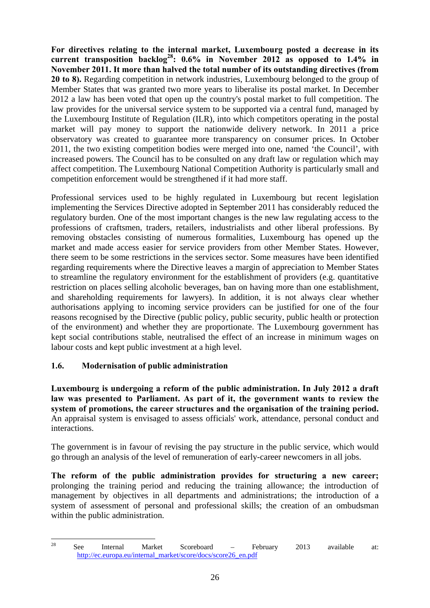**For directives relating to the internal market, Luxembourg posted a decrease in its current transposition backlog28: 0.6% in November 2012 as opposed to 1.4% in November 2011. It more than halved the total number of its outstanding directives (from 20 to 8).** Regarding competition in network industries, Luxembourg belonged to the group of Member States that was granted two more years to liberalise its postal market. In December 2012 a law has been voted that open up the country's postal market to full competition. The law provides for the universal service system to be supported via a central fund, managed by the Luxembourg Institute of Regulation (ILR), into which competitors operating in the postal market will pay money to support the nationwide delivery network. In 2011 a price observatory was created to guarantee more transparency on consumer prices. In October 2011, the two existing competition bodies were merged into one, named 'the Council', with increased powers. The Council has to be consulted on any draft law or regulation which may affect competition. The Luxembourg National Competition Authority is particularly small and competition enforcement would be strengthened if it had more staff.

Professional services used to be highly regulated in Luxembourg but recent legislation implementing the Services Directive adopted in September 2011 has considerably reduced the regulatory burden. One of the most important changes is the new law regulating access to the professions of craftsmen, traders, retailers, industrialists and other liberal professions. By removing obstacles consisting of numerous formalities, Luxembourg has opened up the market and made access easier for service providers from other Member States. However, there seem to be some restrictions in the services sector. Some measures have been identified regarding requirements where the Directive leaves a margin of appreciation to Member States to streamline the regulatory environment for the establishment of providers (e.g. quantitative restriction on places selling alcoholic beverages, ban on having more than one establishment, and shareholding requirements for lawyers). In addition, it is not always clear whether authorisations applying to incoming service providers can be justified for one of the four reasons recognised by the Directive (public policy, public security, public health or protection of the environment) and whether they are proportionate. The Luxembourg government has kept social contributions stable, neutralised the effect of an increase in minimum wages on labour costs and kept public investment at a high level.

## <span id="page-25-0"></span>**1.6. Modernisation of public administration**

**Luxembourg is undergoing a reform of the public administration. In July 2012 a draft law was presented to Parliament. As part of it, the government wants to review the system of promotions, the career structures and the organisation of the training period.** An appraisal system is envisaged to assess officials' work, attendance, personal conduct and interactions.

The government is in favour of revising the pay structure in the public service, which would go through an analysis of the level of remuneration of early-career newcomers in all jobs.

**The reform of the public administration provides for structuring a new career;** prolonging the training period and reducing the training allowance; the introduction of management by objectives in all departments and administrations; the introduction of a system of assessment of personal and professional skills; the creation of an ombudsman within the public administration.

<sup>28</sup> <sup>28</sup> See Internal Market Scoreboard – February 2013 available at: [http://ec.europa.eu/internal\\_market/score/docs/score26\\_en.pdf](http://ec.europa.eu/internal_market/score/docs/score26_en.pdf)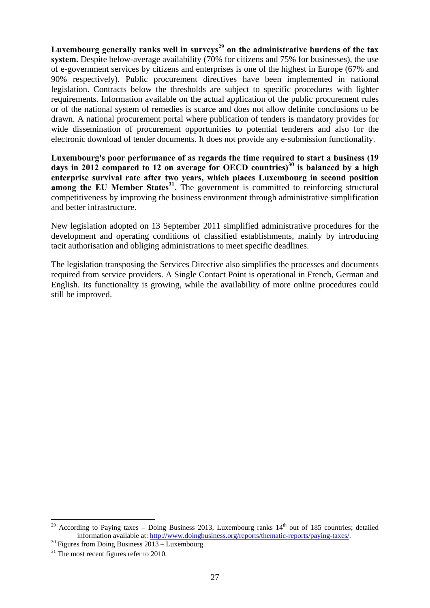Luxembourg generally ranks well in surveys<sup>29</sup> on the administrative burdens of the tax **system.** Despite below-average availability (70% for citizens and 75% for businesses), the use of e-government services by citizens and enterprises is one of the highest in Europe (67% and 90% respectively). Public procurement directives have been implemented in national legislation. Contracts below the thresholds are subject to specific procedures with lighter requirements. Information available on the actual application of the public procurement rules or of the national system of remedies is scarce and does not allow definite conclusions to be drawn. A national procurement portal where publication of tenders is mandatory provides for wide dissemination of procurement opportunities to potential tenderers and also for the electronic download of tender documents. It does not provide any e-submission functionality.

**Luxembourg's poor performance of as regards the time required to start a business (19 days in 2012 compared to 12 on average for OECD countries)30 is balanced by a high enterprise survival rate after two years, which places Luxembourg in second position among the EU Member States<sup>31</sup>.** The government is committed to reinforcing structural competitiveness by improving the business environment through administrative simplification and better infrastructure.

New legislation adopted on 13 September 2011 simplified administrative procedures for the development and operating conditions of classified establishments, mainly by introducing tacit authorisation and obliging administrations to meet specific deadlines.

The legislation transposing the Services Directive also simplifies the processes and documents required from service providers. A Single Contact Point is operational in French, German and English. Its functionality is growing, while the availability of more online procedures could still be improved.

1

<sup>&</sup>lt;sup>29</sup> According to Paying taxes – Doing Business 2013, Luxembourg ranks  $14<sup>th</sup>$  out of 185 countries; detailed information available at[: http://www.doingbusines](http://www.doingbusiness.org/reports/thematic-reports/paying-taxes/)s.org/reports/thematic-reports/paying-taxes/.<br><sup>30</sup> Figures from Doing Business 2013 – Luxembourg.

<sup>&</sup>lt;sup>31</sup> The most recent figures refer to 2010.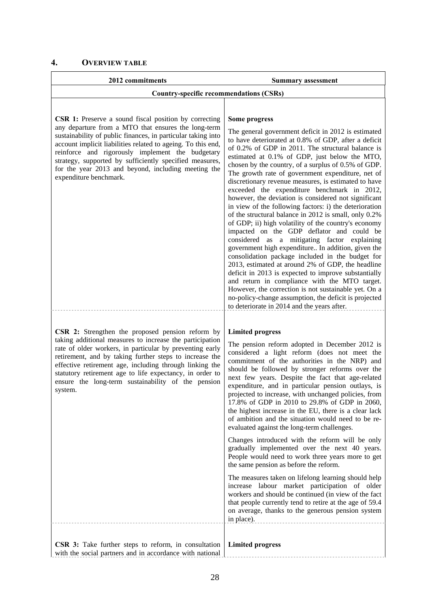<span id="page-27-0"></span>

| 2012 commitments                                                                                                                                                                                                                                                                                                                                                                                                                                    | <b>Summary assessment</b>                                                                                                                                                                                                                                                                                                                                                                                                                                                                                                                                                                                                                                                                                                                                                                                                                                                                                                                                                                                                                                                                                                                                                                                                     |
|-----------------------------------------------------------------------------------------------------------------------------------------------------------------------------------------------------------------------------------------------------------------------------------------------------------------------------------------------------------------------------------------------------------------------------------------------------|-------------------------------------------------------------------------------------------------------------------------------------------------------------------------------------------------------------------------------------------------------------------------------------------------------------------------------------------------------------------------------------------------------------------------------------------------------------------------------------------------------------------------------------------------------------------------------------------------------------------------------------------------------------------------------------------------------------------------------------------------------------------------------------------------------------------------------------------------------------------------------------------------------------------------------------------------------------------------------------------------------------------------------------------------------------------------------------------------------------------------------------------------------------------------------------------------------------------------------|
| <b>Country-specific recommendations (CSRs)</b>                                                                                                                                                                                                                                                                                                                                                                                                      |                                                                                                                                                                                                                                                                                                                                                                                                                                                                                                                                                                                                                                                                                                                                                                                                                                                                                                                                                                                                                                                                                                                                                                                                                               |
|                                                                                                                                                                                                                                                                                                                                                                                                                                                     |                                                                                                                                                                                                                                                                                                                                                                                                                                                                                                                                                                                                                                                                                                                                                                                                                                                                                                                                                                                                                                                                                                                                                                                                                               |
| <b>CSR 1:</b> Preserve a sound fiscal position by correcting<br>any departure from a MTO that ensures the long-term<br>sustainability of public finances, in particular taking into<br>account implicit liabilities related to ageing. To this end,<br>reinforce and rigorously implement the budgetary<br>strategy, supported by sufficiently specified measures,<br>for the year 2013 and beyond, including meeting the<br>expenditure benchmark. | Some progress<br>The general government deficit in 2012 is estimated<br>to have deteriorated at 0.8% of GDP, after a deficit<br>of 0.2% of GDP in 2011. The structural balance is<br>estimated at 0.1% of GDP, just below the MTO,<br>chosen by the country, of a surplus of 0.5% of GDP.<br>The growth rate of government expenditure, net of<br>discretionary revenue measures, is estimated to have<br>exceeded the expenditure benchmark in 2012,<br>however, the deviation is considered not significant<br>in view of the following factors: i) the deterioration<br>of the structural balance in 2012 is small, only 0.2%<br>of GDP; ii) high volatility of the country's economy<br>impacted on the GDP deflator and could be<br>considered as a mitigating factor explaining<br>government high expenditure In addition, given the<br>consolidation package included in the budget for<br>2013, estimated at around 2% of GDP, the headline<br>deficit in 2013 is expected to improve substantially<br>and return in compliance with the MTO target.<br>However, the correction is not sustainable yet. On a<br>no-policy-change assumption, the deficit is projected<br>to deteriorate in 2014 and the years after. |
| CSR 2: Strengthen the proposed pension reform by<br>taking additional measures to increase the participation<br>rate of older workers, in particular by preventing early<br>retirement, and by taking further steps to increase the<br>effective retirement age, including through linking the<br>statutory retirement age to life expectancy, in order to<br>ensure the long-term sustainability of the pension<br>system.                         | <b>Limited progress</b><br>The pension reform adopted in December 2012 is<br>considered a light reform (does not meet the<br>commitment of the authorities in the NRP) and<br>should be followed by stronger reforms over the<br>next few years. Despite the fact that age-related<br>expenditure, and in particular pension outlays, is<br>projected to increase, with unchanged policies, from<br>17.8% of GDP in 2010 to 29.8% of GDP in 2060,<br>the highest increase in the EU, there is a clear lack<br>of ambition and the situation would need to be re-<br>evaluated against the long-term challenges.<br>Changes introduced with the reform will be only<br>gradually implemented over the next 40 years.<br>People would need to work three years more to get<br>the same pension as before the reform.<br>The measures taken on lifelong learning should help<br>increase labour market participation of older<br>workers and should be continued (in view of the fact<br>that people currently tend to retire at the age of 59.4<br>on average, thanks to the generous pension system<br>in place).                                                                                                              |
| CSR 3: Take further steps to reform, in consultation<br>with the social partners and in accordance with national                                                                                                                                                                                                                                                                                                                                    | <b>Limited progress</b>                                                                                                                                                                                                                                                                                                                                                                                                                                                                                                                                                                                                                                                                                                                                                                                                                                                                                                                                                                                                                                                                                                                                                                                                       |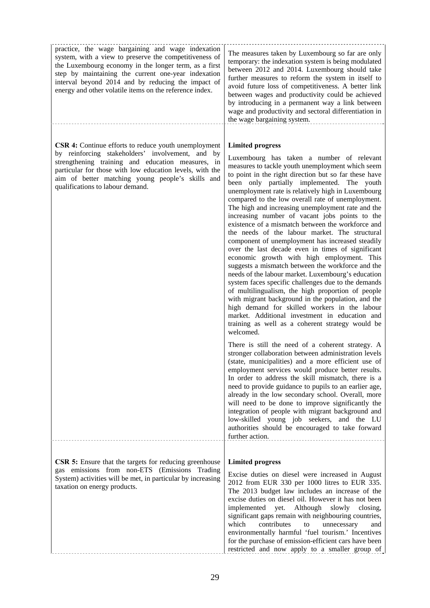| practice, the wage bargaining and wage indexation<br>system, with a view to preserve the competitiveness of<br>the Luxembourg economy in the longer term, as a first<br>step by maintaining the current one-year indexation<br>interval beyond 2014 and by reducing the impact of<br>energy and other volatile items on the reference index. | The measures taken by Luxembourg so far are only<br>temporary: the indexation system is being modulated<br>between 2012 and 2014. Luxembourg should take<br>further measures to reform the system in itself to<br>avoid future loss of competitiveness. A better link<br>between wages and productivity could be achieved<br>by introducing in a permanent way a link between<br>wage and productivity and sectoral differentiation in<br>the wage bargaining system.                                                                                                                                                                                                                                                                                                                                                                                                                                                                                                                                                                                                                                                                                            |
|----------------------------------------------------------------------------------------------------------------------------------------------------------------------------------------------------------------------------------------------------------------------------------------------------------------------------------------------|------------------------------------------------------------------------------------------------------------------------------------------------------------------------------------------------------------------------------------------------------------------------------------------------------------------------------------------------------------------------------------------------------------------------------------------------------------------------------------------------------------------------------------------------------------------------------------------------------------------------------------------------------------------------------------------------------------------------------------------------------------------------------------------------------------------------------------------------------------------------------------------------------------------------------------------------------------------------------------------------------------------------------------------------------------------------------------------------------------------------------------------------------------------|
| <b>CSR 4:</b> Continue efforts to reduce youth unemployment<br>by reinforcing stakeholders' involvement, and by<br>strengthening training and education measures, in<br>particular for those with low education levels, with the<br>aim of better matching young people's skills and<br>qualifications to labour demand.                     | <b>Limited progress</b><br>Luxembourg has taken a number of relevant<br>measures to tackle youth unemployment which seem<br>to point in the right direction but so far these have<br>been only partially implemented. The youth<br>unemployment rate is relatively high in Luxembourg<br>compared to the low overall rate of unemployment.<br>The high and increasing unemployment rate and the<br>increasing number of vacant jobs points to the<br>existence of a mismatch between the workforce and<br>the needs of the labour market. The structural<br>component of unemployment has increased steadily<br>over the last decade even in times of significant<br>economic growth with high employment. This<br>suggests a mismatch between the workforce and the<br>needs of the labour market. Luxembourg's education<br>system faces specific challenges due to the demands<br>of multilingualism, the high proportion of people<br>with migrant background in the population, and the<br>high demand for skilled workers in the labour<br>market. Additional investment in education and<br>training as well as a coherent strategy would be<br>welcomed. |
|                                                                                                                                                                                                                                                                                                                                              | There is still the need of a coherent strategy. A<br>stronger collaboration between administration levels<br>(state, municipalities) and a more efficient use of<br>employment services would produce better results.<br>In order to address the skill mismatch, there is a<br>need to provide guidance to pupils to an earlier age,<br>already in the low secondary school. Overall, more<br>will need to be done to improve significantly the<br>integration of people with migrant background and<br>low-skilled young job seekers, and the LU<br>authorities should be encouraged to take forward<br>further action.                                                                                                                                                                                                                                                                                                                                                                                                                                                                                                                                         |
| <b>CSR 5:</b> Ensure that the targets for reducing greenhouse                                                                                                                                                                                                                                                                                | <b>Limited progress</b>                                                                                                                                                                                                                                                                                                                                                                                                                                                                                                                                                                                                                                                                                                                                                                                                                                                                                                                                                                                                                                                                                                                                          |
| gas emissions from non-ETS (Emissions Trading<br>System) activities will be met, in particular by increasing<br>taxation on energy products.                                                                                                                                                                                                 | Excise duties on diesel were increased in August<br>2012 from EUR 330 per 1000 litres to EUR 335.<br>The 2013 budget law includes an increase of the<br>excise duties on diesel oil. However it has not been<br>implemented yet. Although slowly<br>closing,<br>significant gaps remain with neighbouring countries,<br>which<br>contributes<br>${\rm to}$<br>unnecessary<br>and<br>environmentally harmful 'fuel tourism.' Incentives<br>for the purchase of emission-efficient cars have been<br>restricted and now apply to a smaller group of                                                                                                                                                                                                                                                                                                                                                                                                                                                                                                                                                                                                                |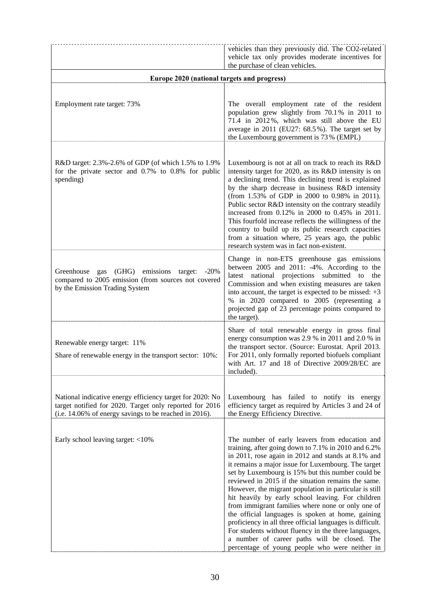|                                                                                                                                                                                | vehicles than they previously did. The CO2-related                                                                                                                                                                                                                                                                                                                                                                                                                                                                                                                                                                                                                                                                                                                             |
|--------------------------------------------------------------------------------------------------------------------------------------------------------------------------------|--------------------------------------------------------------------------------------------------------------------------------------------------------------------------------------------------------------------------------------------------------------------------------------------------------------------------------------------------------------------------------------------------------------------------------------------------------------------------------------------------------------------------------------------------------------------------------------------------------------------------------------------------------------------------------------------------------------------------------------------------------------------------------|
|                                                                                                                                                                                | vehicle tax only provides moderate incentives for<br>the purchase of clean vehicles.                                                                                                                                                                                                                                                                                                                                                                                                                                                                                                                                                                                                                                                                                           |
| Europe 2020 (national targets and progress)                                                                                                                                    |                                                                                                                                                                                                                                                                                                                                                                                                                                                                                                                                                                                                                                                                                                                                                                                |
|                                                                                                                                                                                |                                                                                                                                                                                                                                                                                                                                                                                                                                                                                                                                                                                                                                                                                                                                                                                |
| Employment rate target: 73%                                                                                                                                                    | The overall employment rate of the resident<br>population grew slightly from 70.1% in 2011 to<br>71.4 in 2012%, which was still above the EU<br>average in 2011 (EU27: 68.5%). The target set by<br>the Luxembourg government is 73% (EMPL)                                                                                                                                                                                                                                                                                                                                                                                                                                                                                                                                    |
| R&D target: 2.3%-2.6% of GDP (of which 1.5% to 1.9%<br>for the private sector and $0.7\%$ to $0.8\%$ for public<br>spending)                                                   | Luxembourg is not at all on track to reach its R&D<br>intensity target for 2020, as its R&D intensity is on<br>a declining trend. This declining trend is explained<br>by the sharp decrease in business R&D intensity<br>(from 1.53% of GDP in 2000 to 0.98% in 2011).<br>Public sector R&D intensity on the contrary steadily<br>increased from 0.12% in 2000 to 0.45% in 2011.<br>This fourfold increase reflects the willingness of the<br>country to build up its public research capacities<br>from a situation where, 25 years ago, the public<br>research system was in fact non-existent.                                                                                                                                                                             |
| Greenhouse gas (GHG) emissions<br>target:<br>$-20\%$<br>compared to 2005 emission (from sources not covered<br>by the Emission Trading System                                  | Change in non-ETS greenhouse gas emissions<br>between 2005 and 2011: -4%. According to the<br>latest national projections submitted to<br>the<br>Commission and when existing measures are taken<br>into account, the target is expected to be missed: $+3$<br>% in 2020 compared to 2005 (representing a<br>projected gap of 23 percentage points compared to<br>the target).                                                                                                                                                                                                                                                                                                                                                                                                 |
| Renewable energy target: 11%<br>Share of renewable energy in the transport sector: 10%:                                                                                        | Share of total renewable energy in gross final<br>energy consumption was 2.9 % in 2011 and 2.0 % in<br>the transport sector. (Source: Eurostat. April 2013.<br>For 2011, only formally reported biofuels compliant<br>with Art. 17 and 18 of Directive 2009/28/EC are<br>included).                                                                                                                                                                                                                                                                                                                                                                                                                                                                                            |
| National indicative energy efficiency target for 2020: No<br>target notified for 2020. Target only reported for 2016<br>(i.e. 14.06% of energy savings to be reached in 2016). | Luxembourg has failed to notify its energy<br>efficiency target as required by Articles 3 and 24 of<br>the Energy Efficiency Directive.                                                                                                                                                                                                                                                                                                                                                                                                                                                                                                                                                                                                                                        |
| Early school leaving target: <10%                                                                                                                                              | The number of early leavers from education and<br>training, after going down to 7.1% in 2010 and 6.2%<br>in 2011, rose again in 2012 and stands at 8.1% and<br>it remains a major issue for Luxembourg. The target<br>set by Luxembourg is 15% but this number could be<br>reviewed in 2015 if the situation remains the same.<br>However, the migrant population in particular is still<br>hit heavily by early school leaving. For children<br>from immigrant families where none or only one of<br>the official languages is spoken at home, gaining<br>proficiency in all three official languages is difficult.<br>For students without fluency in the three languages,<br>a number of career paths will be closed. The<br>percentage of young people who were neither in |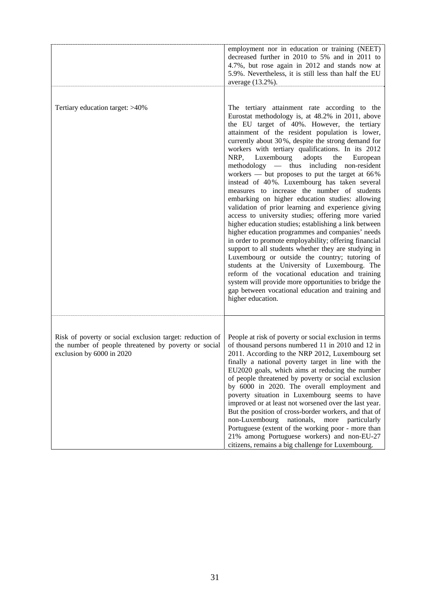|                                                                                                                                               | employment nor in education or training (NEET)<br>decreased further in 2010 to 5% and in 2011 to<br>4.7%, but rose again in 2012 and stands now at<br>5.9%. Nevertheless, it is still less than half the EU<br>average (13.2%).                                                                                                                                                                                                                                                                                                                                                                                                                                                                                                                                                                                                                                                                                                                                                                                                                                                                                                                                                                                                                    |
|-----------------------------------------------------------------------------------------------------------------------------------------------|----------------------------------------------------------------------------------------------------------------------------------------------------------------------------------------------------------------------------------------------------------------------------------------------------------------------------------------------------------------------------------------------------------------------------------------------------------------------------------------------------------------------------------------------------------------------------------------------------------------------------------------------------------------------------------------------------------------------------------------------------------------------------------------------------------------------------------------------------------------------------------------------------------------------------------------------------------------------------------------------------------------------------------------------------------------------------------------------------------------------------------------------------------------------------------------------------------------------------------------------------|
|                                                                                                                                               |                                                                                                                                                                                                                                                                                                                                                                                                                                                                                                                                                                                                                                                                                                                                                                                                                                                                                                                                                                                                                                                                                                                                                                                                                                                    |
| Tertiary education target: >40%                                                                                                               | The tertiary attainment rate according to the<br>Eurostat methodology is, at 48.2% in 2011, above<br>the EU target of 40%. However, the tertiary<br>attainment of the resident population is lower,<br>currently about 30%, despite the strong demand for<br>workers with tertiary qualifications. In its 2012<br>NRP, Luxembourg<br>adopts<br>the<br>European<br>methodology — thus including non-resident<br>workers — but proposes to put the target at 66%<br>instead of 40%. Luxembourg has taken several<br>measures to increase the number of students<br>embarking on higher education studies: allowing<br>validation of prior learning and experience giving<br>access to university studies; offering more varied<br>higher education studies; establishing a link between<br>higher education programmes and companies' needs<br>in order to promote employability; offering financial<br>support to all students whether they are studying in<br>Luxembourg or outside the country; tutoring of<br>students at the University of Luxembourg. The<br>reform of the vocational education and training<br>system will provide more opportunities to bridge the<br>gap between vocational education and training and<br>higher education. |
|                                                                                                                                               |                                                                                                                                                                                                                                                                                                                                                                                                                                                                                                                                                                                                                                                                                                                                                                                                                                                                                                                                                                                                                                                                                                                                                                                                                                                    |
| Risk of poverty or social exclusion target: reduction of<br>the number of people threatened by poverty or social<br>exclusion by 6000 in 2020 | People at risk of poverty or social exclusion in terms<br>of thousand persons numbered 11 in 2010 and 12 in<br>2011. According to the NRP 2012, Luxembourg set<br>finally a national poverty target in line with the<br>EU2020 goals, which aims at reducing the number<br>of people threatened by poverty or social exclusion<br>by 6000 in 2020. The overall employment and<br>poverty situation in Luxembourg seems to have<br>improved or at least not worsened over the last year.<br>But the position of cross-border workers, and that of<br>non-Luxembourg<br>nationals, more particularly<br>Portuguese (extent of the working poor - more than<br>21% among Portuguese workers) and non-EU-27<br>citizens, remains a big challenge for Luxembourg.                                                                                                                                                                                                                                                                                                                                                                                                                                                                                       |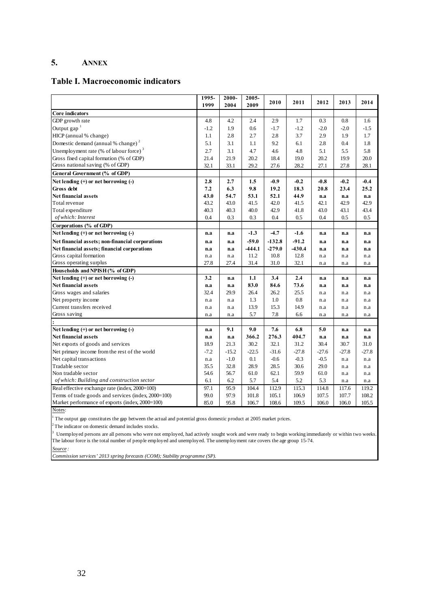## **5. ANNEX**

### **Table I. Macroeconomic indicators**

|                                                     | 1995-<br>1999 | $2000 -$<br>2004 | $2005 -$<br>2009 | 2010     | 2011     | 2012    | 2013    | 2014    |
|-----------------------------------------------------|---------------|------------------|------------------|----------|----------|---------|---------|---------|
| Core indicators                                     |               |                  |                  |          |          |         |         |         |
| GDP growth rate                                     | 4.8           | 4.2              | 2.4              | 2.9      | 1.7      | 0.3     | 0.8     | 1.6     |
| Output gap $1$                                      | $-1.2$        | 1.9              | 0.6              | $-1.7$   | $-1.2$   | $-2.0$  | $-2.0$  | $-1.5$  |
| HICP (annual % change)                              | 1.1           | 2.8              | 2.7              | 2.8      | 3.7      | 2.9     | 1.9     | 1.7     |
| Domestic demand (annual % change) <sup>2</sup>      | 5.1           | 3.1              | 1.1              | 9.2      | 6.1      | 2.8     | 0.4     | 1.8     |
| Unemployment rate (% of labour force) $3$           | 2.7           | 3.1              | 4.7              | 4.6      | 4.8      | 5.1     | 5.5     | 5.8     |
| Gross fixed capital formation (% of GDP)            | 21.4          | 21.9             | 20.2             | 18.4     | 19.0     | 20.2    | 19.9    | 20.0    |
| Gross national saving (% of GDP)                    | 32.1          | 33.1             | 29.2             | 27.6     | 28.2     | 27.1    | 27.8    | 28.1    |
| General Government (% of GDP)                       |               |                  |                  |          |          |         |         |         |
| Net lending $(+)$ or net borrowing $(-)$            | 2.8           | 2.7              | 1.5              | $-0.9$   | $-0.2$   | $-0.8$  | $-0.2$  | $-0.4$  |
| Gross debt                                          | 7.2           | 6.3              | 9.8              | 19.2     | 18.3     | 20.8    | 23.4    | 25.2    |
| <b>Net financial assets</b>                         | 43.0          | 54.7             | 53.1             | 52.1     | 44.9     | n.a     | n.a     | n.a     |
| Total revenue                                       | 43.2          | 43.0             | 41.5             | 42.0     | 41.5     | 42.1    | 42.9    | 42.9    |
| Total expenditure                                   | 40.3          | 40.3             | 40.0             | 42.9     | 41.8     | 43.0    | 43.1    | 43.4    |
| of which: Interest                                  | 0.4           | 0.3              | 0.3              | 0.4      | 0.5      | 0.4     | 0.5     | 0.5     |
| Corporations (% of GDP)                             |               |                  |                  |          |          |         |         |         |
| Net lending $(+)$ or net borrowing $(-)$            | n.a           | n.a              | $-1.3$           | $-4.7$   | $-1.6$   | n.a     | n.a     | n.a     |
| Net financial assets; non-financial corporations    | n.a           | n.a              | $-59.0$          | $-132.8$ | $-91.2$  | n.a     | n.a     | n.a     |
| Net financial assets; financial corporations        | n.a           | n.a              | $-444.1$         | $-279.0$ | $-430.4$ | n.a     | n.a     | n.a     |
| Gross capital formation                             | n.a           | n.a              | 11.2             | 10.8     | 12.8     | n.a     | n.a     | n.a     |
| Gross operating surplus                             | 27.8          | 27.4             | 31.4             | 31.0     | 32.1     | n.a     | n.a     | n.a     |
| Households and NPISH (% of GDP)                     |               |                  |                  |          |          |         |         |         |
| Net lending $(+)$ or net borrowing $(-)$            | 3.2           | n.a              | 1.1              | 3.4      | 2.4      | n.a     | n.a     | n.a     |
| <b>Net financial assets</b>                         | n.a           | n.a              | 83.0             | 84.6     | 73.6     | n.a     | n.a     | n.a     |
| Gross wages and salaries                            | 32.4          | 29.9             | 26.4             | 26.2     | 25.5     | n.a     | n.a     | n.a     |
| Net property income                                 | n.a           | n.a              | 1.3              | 1.0      | 0.8      | n.a     | n.a     | n.a     |
| Current transfers received                          | n.a           | n.a              | 13.9             | 15.3     | 14.9     | n.a     | n.a     | n.a     |
| Gross saving                                        | n.a           | n.a              | 5.7              | 7.8      | 6.6      | n.a     | n.a     | n.a     |
|                                                     |               |                  |                  |          |          |         |         |         |
| Net lending (+) or net borrowing (-)                | n.a           | 9.1              | 9.0              | 7.6      | 6.8      | 5.0     | n.a     | n.a     |
| Net financial assets                                | n.a           | n.a              | 366.2            | 276.3    | 404.7    | n.a     | n.a     | n.a     |
| Net exports of goods and services                   | 18.9          | 21.3             | 30.2             | 32.1     | 31.2     | 30.4    | 30.7    | 31.0    |
| Net primary income from the rest of the world       | $-7.2$        | $-15.2$          | $-22.5$          | $-31.6$  | $-27.8$  | $-27.6$ | $-27.8$ | $-27.8$ |
| Net capital transactions                            | n.a           | $-1.0$           | 0.1              | $-0.6$   | $-0.3$   | $-0.5$  | n.a     | n.a     |
| Tradable sector                                     | 35.5          | 32.8             | 28.9             | 28.5     | 30.6     | 29.0    | n.a     | n.a     |
| Non tradable sector                                 | 54.6          | 56.7             | 61.0             | 62.1     | 59.9     | 61.0    | n.a     | n.a     |
| of which: Building and construction sector          | 6.1           | 6.2              | 5.7              | 5.4      | 5.2      | 5.3     | n.a     | n.a     |
| Real effective exchange rate (index, 2000=100)      | 97.1          | 95.9             | 104.4            | 112.9    | 115.3    | 114.8   | 117.6   | 119.2   |
| Terms of trade goods and services (index, 2000=100) | 99.0          | 97.9             | 101.8            | 105.1    | 106.9    | 107.5   | 107.7   | 108.2   |
| Market performance of exports (index, 2000=100)     | 85.0          | 95.8             | 106.7            | 108.6    | 109.5    | 106.0   | 106.0   | 105.5   |

Notes:

<sup>1</sup> The output gap constitutes the gap between the actual and potential gross domestic product at 2005 market prices.

 $2$ <sup>2</sup> The indicator on domestic demand includes stocks.

<sup>3</sup> Unemployed persons are all persons who were not employed, had actively sought work and were ready to begin working immediately or within two weeks. The labour force is the total number of people employed and unemployed. The unemployment rate covers the age group 15-74.

*Source :*

<span id="page-31-0"></span>*Commission services' 2013 spring forecasts (COM); Stability programme (SP).*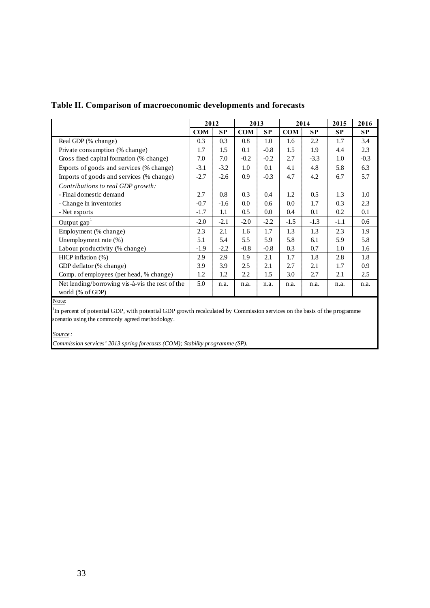|                                                                     | 2012       |           | 2013       |           | 2014       |           | 2015      | 2016      |
|---------------------------------------------------------------------|------------|-----------|------------|-----------|------------|-----------|-----------|-----------|
|                                                                     | <b>COM</b> | <b>SP</b> | <b>COM</b> | <b>SP</b> | <b>COM</b> | <b>SP</b> | <b>SP</b> | <b>SP</b> |
| Real GDP (% change)                                                 | 0.3        | 0.3       | 0.8        | 1.0       | 1.6        | 2.2       | 1.7       | 3.4       |
| Private consumption (% change)                                      | 1.7        | 1.5       | 0.1        | $-0.8$    | 1.5        | 1.9       | 4.4       | 2.3       |
| Gross fixed capital formation (% change)                            | 7.0        | 7.0       | $-0.2$     | $-0.2$    | 2.7        | $-3.3$    | 1.0       | $-0.3$    |
| Exports of goods and services (% change)                            | $-3.1$     | $-3.2$    | 1.0        | 0.1       | 4.1        | 4.8       | 5.8       | 6.3       |
| Imports of goods and services (% change)                            | $-2.7$     | $-2.6$    | 0.9        | $-0.3$    | 4.7        | 4.2       | 6.7       | 5.7       |
| Contributions to real GDP growth:                                   |            |           |            |           |            |           |           |           |
| - Final domestic demand                                             | 2.7        | 0.8       | 0.3        | 0.4       | 1.2        | 0.5       | 1.3       | 1.0       |
| - Change in inventories                                             | $-0.7$     | $-1.6$    | 0.0        | 0.6       | 0.0        | 1.7       | 0.3       | 2.3       |
| - Net exports                                                       | $-1.7$     | 1.1       | 0.5        | 0.0       | 0.4        | 0.1       | 0.2       | 0.1       |
| Output gap                                                          | $-2.0$     | $-2.1$    | $-2.0$     | $-2.2$    | $-1.5$     | $-1.3$    | $-1.1$    | 0.6       |
| Employment (% change)                                               | 2.3        | 2.1       | 1.6        | 1.7       | 1.3        | 1.3       | 2.3       | 1.9       |
| Unemployment rate (%)                                               | 5.1        | 5.4       | 5.5        | 5.9       | 5.8        | 6.1       | 5.9       | 5.8       |
| Labour productivity (% change)                                      | $-1.9$     | $-2.2$    | $-0.8$     | $-0.8$    | 0.3        | 0.7       | $1.0\,$   | 1.6       |
| $HICP$ inflation $(\%)$                                             | 2.9        | 2.9       | 1.9        | 2.1       | 1.7        | 1.8       | 2.8       | 1.8       |
| GDP deflator (% change)                                             | 3.9        | 3.9       | 2.5        | 2.1       | 2.7        | 2.1       | 1.7       | 0.9       |
| Comp. of employees (per head, % change)                             | 1.2        | 1.2       | 2.2        | 1.5       | 3.0        | 2.7       | 2.1       | 2.5       |
| Net lending/borrowing vis-à-vis the rest of the<br>world (% of GDP) | 5.0        | n.a.      | n.a.       | n.a.      | n.a.       | n.a.      | n.a.      | n.a.      |

## **Table II. Comparison of macroeconomic developments and forecasts**

Note:

<sup>1</sup>In percent of potential GDP, with potential GDP growth recalculated by Commission services on the basis of the programme scenario using the commonly agreed methodology.

*Source :*

*Commission services' 2013 spring forecasts (COM); Stability programme (SP).*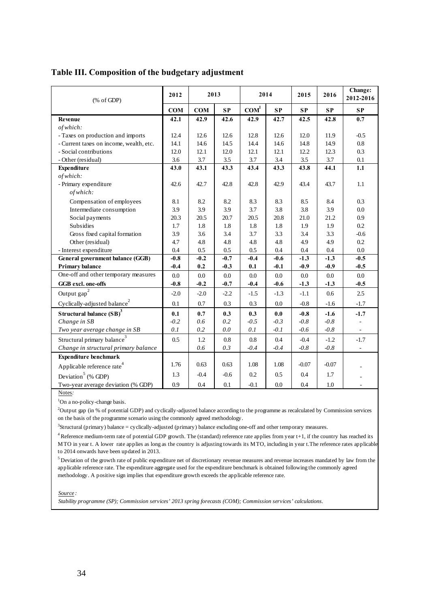| Table III. Composition of the budgetary adjustment |  |  |
|----------------------------------------------------|--|--|
|                                                    |  |  |

| $(% \mathcal{L}_{0} \cap \mathcal{L}_{1})$ (% of GDP) | 2012   | 2013   |         | 2014             |        | 2015      | 2016    | Change:<br>2012-2016 |
|-------------------------------------------------------|--------|--------|---------|------------------|--------|-----------|---------|----------------------|
|                                                       | COM    | COM    | SP      | COM <sup>1</sup> | SP     | <b>SP</b> | SP      | SP                   |
| Revenue                                               | 42.1   | 42.9   | 42.6    | 42.9             | 42.7   | 42.5      | 42.8    | 0.7                  |
| of which:                                             |        |        |         |                  |        |           |         |                      |
| - Taxes on production and imports                     | 12.4   | 12.6   | 12.6    | 12.8             | 12.6   | 12.0      | 11.9    | $-0.5$               |
| - Current taxes on income, wealth, etc.               | 14.1   | 14.6   | 14.5    | 14.4             | 14.6   | 14.8      | 14.9    | 0.8                  |
| - Social contributions                                | 12.0   | 12.1   | 12.0    | 12.1             | 12.1   | 12.2      | 12.3    | 0.3                  |
| - Other (residual)                                    | 3.6    | 3.7    | 3.5     | 3.7              | 3.4    | 3.5       | 3.7     | 0.1                  |
| <b>Expenditure</b>                                    | 43.0   | 43.1   | 43.3    | 43.4             | 43.3   | 43.8      | 44.1    | 1.1                  |
| of which:                                             |        |        |         |                  |        |           |         |                      |
| - Primary expenditure                                 | 42.6   | 42.7   | 42.8    | 42.8             | 42.9   | 43.4      | 43.7    | 1.1                  |
| of which:                                             |        |        |         |                  |        |           |         |                      |
| Compensation of employees                             | 8.1    | 8.2    | 8.2     | 8.3              | 8.3    | 8.5       | 8.4     | 0.3                  |
| Intermediate consumption                              | 3.9    | 3.9    | 3.9     | 3.7              | 3.8    | 3.8       | 3.9     | 0.0                  |
| Social payments                                       | 20.3   | 20.5   | 20.7    | 20.5             | 20.8   | 21.0      | 21.2    | 0.9                  |
| Subsidies                                             | 1.7    | 1.8    | 1.8     | 1.8              | 1.8    | 1.9       | 1.9     | 0.2                  |
| Gross fixed capital formation                         | 3.9    | 3.6    | 3.4     | 3.7              | 3.3    | 3.4       | 3.3     | $-0.6$               |
| Other (residual)                                      | 4.7    | 4.8    | 4.8     | 4.8              | 4.8    | 4.9       | 4.9     | 0.2                  |
| - Interest expenditure                                | 0.4    | 0.5    | $0.5\,$ | 0.5              | 0.4    | 0.4       | 0.4     | 0.0                  |
| General government balance (GGB)                      | $-0.8$ | $-0.2$ | $-0.7$  | $-0.4$           | $-0.6$ | $-1.3$    | $-1.3$  | $-0.5$               |
| <b>Primary balance</b>                                | $-0.4$ | 0.2    | $-0.3$  | 0.1              | $-0.1$ | $-0.9$    | $-0.9$  | $-0.5$               |
| One-off and other temporary measures                  | 0.0    | 0.0    | 0.0     | 0.0              | 0.0    | 0.0       | 0.0     | $0.0\,$              |
| GGB excl. one-offs                                    | $-0.8$ | $-0.2$ | $-0.7$  | $-0.4$           | $-0.6$ | $-1.3$    | $-1.3$  | $-0.5$               |
| Output $\mathtt{gap}^2$                               | $-2.0$ | $-2.0$ | $-2.2$  | $-1.5$           | $-1.3$ | $-1.1$    | 0.6     | 2.5                  |
| Cyclically-adjusted balance <sup>2</sup>              | 0.1    | 0.7    | 0.3     | 0.3              | 0.0    | $-0.8$    | $-1.6$  | $-1.7$               |
| Structural balance (SB) <sup>3</sup>                  | 0.1    | 0.7    | 0.3     | 0.3              | 0.0    | $-0.8$    | $-1.6$  | $-1.7$               |
| Change in SB                                          | $-0.2$ | 0.6    | 0.2     | $-0.5$           | $-0.3$ | $-0.8$    | $-0.8$  |                      |
| Two year average change in SB                         | 0.1    | 0.2    | 0.0     | 0.1              | $-0.1$ | $-0.6$    | $-0.8$  |                      |
| Structural primary balance <sup>3</sup>               | 0.5    | 1.2    | 0.8     | 0.8              | 0.4    | $-0.4$    | $-1.2$  | $-1.7$               |
| Change in structural primary balance                  |        | 0.6    | 0.3     | $-0.4$           | $-0.4$ | $-0.8$    | $-0.8$  |                      |
| <b>Expenditure benchmark</b>                          |        |        |         |                  |        |           |         |                      |
| Applicable reference rate <sup>4</sup>                | 1.76   | 0.63   | 0.63    | 1.08             | 1.08   | $-0.07$   | $-0.07$ |                      |
| Deviation <sup>5</sup> (% GDP)                        | 1.3    | $-0.4$ | $-0.6$  | 0.2              | 0.5    | 0.4       | 1.7     |                      |
| Two-year average deviation (% GDP)                    | 0.9    | 0.4    | 0.1     | $-0.1$           | 0.0    | 0.4       | 1.0     |                      |

Notes*:*

<sup>1</sup>On a no-policy-change basis.

<sup>2</sup>Output gap (in % of potential GDP) and cyclically-adjusted balance according to the programme as recalculated by Commission services on the basis of the programme scenario using the commonly agreed methodology.

3 Structural (primary) balance = cyclically-adjusted (primary) balance excluding one-off and other temporary measures.

4 Reference medium-term rate of potential GDP growth. The (standard) reference rate applies from year t+1, if the country has reached its MTO in year t. A lower rate applies as long as the country is adjusting towards its MTO, including in year t.The reference rates applicable to 2014 onwards have been updated in 2013.

5 Deviation of the growth rate of public expenditure net of discretionary revenue measures and revenue increases mandated by law from the applicable reference rate. The expenditure aggregate used for the expenditure benchmark is obtained following the commonly agreed methodology. A positive sign implies that expenditure growth exceeds the applicable reference rate.

*Source :*

*Stability programme (SP); Commission services' 2013 spring forecasts (COM); Commission services' calculations.*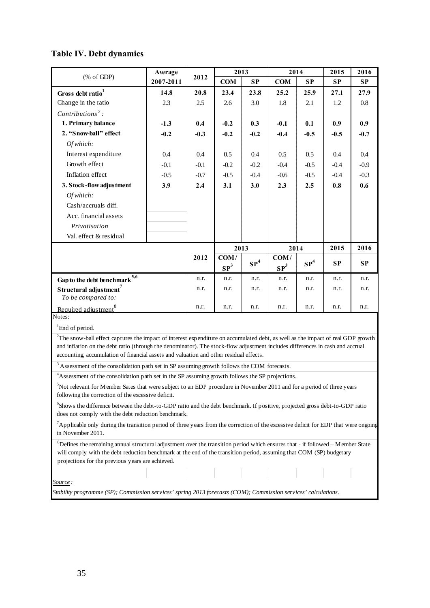# **Table IV. Debt dynamics**

|                                                                                                                                                                                                                         | Average   |        | 2013            |                 | 2014            |                 | 2015   | 2016      |
|-------------------------------------------------------------------------------------------------------------------------------------------------------------------------------------------------------------------------|-----------|--------|-----------------|-----------------|-----------------|-----------------|--------|-----------|
| $(% \mathcal{L}_{0} \cap \mathcal{L}_{1})$ (% of GDP)                                                                                                                                                                   | 2007-2011 | 2012   | <b>COM</b>      | SP              | COM             | SP              | SP     | SP        |
| Gross debt ratio <sup>1</sup>                                                                                                                                                                                           | 14.8      | 20.8   | 23.4            | 23.8            | 25.2            | 25.9            | 27.1   | 27.9      |
| Change in the ratio                                                                                                                                                                                                     | 2.3       | 2.5    | 2.6             | 3.0             | 1.8             | 2.1             | 1.2    | 0.8       |
| Contributions <sup>2</sup> :                                                                                                                                                                                            |           |        |                 |                 |                 |                 |        |           |
| 1. Primary balance                                                                                                                                                                                                      | $-1.3$    | 0.4    | $-0.2$          | 0.3             | $-0.1$          | 0.1             | 0.9    | 0.9       |
| 2. "Snow-ball" effect                                                                                                                                                                                                   | $-0.2$    | $-0.3$ | $-0.2$          | $-0.2$          | $-0.4$          | $-0.5$          | $-0.5$ | $-0.7$    |
| Of which:                                                                                                                                                                                                               |           |        |                 |                 |                 |                 |        |           |
| Interest expenditure                                                                                                                                                                                                    | 0.4       | 0.4    | 0.5             | 0.4             | 0.5             | $0.5\,$         | 0.4    | 0.4       |
| Growth effect                                                                                                                                                                                                           | $-0.1$    | $-0.1$ | $-0.2$          | $-0.2$          | $-0.4$          | $-0.5$          | $-0.4$ | $-0.9$    |
| Inflation effect                                                                                                                                                                                                        | $-0.5$    | $-0.7$ | $-0.5$          | $-0.4$          | $-0.6$          | $-0.5$          | $-0.4$ | $-0.3$    |
| 3. Stock-flow adjustment                                                                                                                                                                                                | 3.9       | 2.4    | 3.1             | 3.0             | 2.3             | 2.5             | 0.8    | 0.6       |
| Of which:                                                                                                                                                                                                               |           |        |                 |                 |                 |                 |        |           |
| Cash/accruals diff.                                                                                                                                                                                                     |           |        |                 |                 |                 |                 |        |           |
| Acc. financial assets                                                                                                                                                                                                   |           |        |                 |                 |                 |                 |        |           |
| Privatisation                                                                                                                                                                                                           |           |        |                 |                 |                 |                 |        |           |
| Val. effect & residual                                                                                                                                                                                                  |           |        |                 |                 |                 |                 |        |           |
|                                                                                                                                                                                                                         |           |        |                 | 2013            |                 | 2014            |        | 2016      |
|                                                                                                                                                                                                                         |           | 2012   | COM/            |                 | COM/            |                 |        |           |
|                                                                                                                                                                                                                         |           |        | SP <sup>3</sup> | $\mathbf{SP}^4$ | SP <sup>3</sup> | $\mathbf{SP}^4$ | SP     | <b>SP</b> |
| Gap to the debt benchmark $^{5,6}$                                                                                                                                                                                      |           | n.r.   | n.r.            | n.r.            | n.r.            | n.r.            | n.r.   | n.r.      |
| Structural adjustment <sup>7</sup>                                                                                                                                                                                      |           | n.r.   | n.r.            | n.r.            | n.r.            | n.r.            | n.r.   | n.r.      |
| To be compared to:                                                                                                                                                                                                      |           |        |                 |                 |                 |                 |        |           |
| Required adjustment <sup>8</sup>                                                                                                                                                                                        |           | n.r.   | n.r.            | n.r.            | n.r.            | n.r.            | n.r.   | n.r.      |
| Notes:                                                                                                                                                                                                                  |           |        |                 |                 |                 |                 |        |           |
| <sup>1</sup> End of period.                                                                                                                                                                                             |           |        |                 |                 |                 |                 |        |           |
| $2$ The snow-ball effect captures the impact of interest expenditure on accumulated debt, as well as the impact of real GDP growth                                                                                      |           |        |                 |                 |                 |                 |        |           |
| and inflation on the debt ratio (through the denominator). The stock-flow adjustment includes differences in cash and accrual<br>accounting, accumulation of financial assets and valuation and other residual effects. |           |        |                 |                 |                 |                 |        |           |
| $3$ Assessment of the consolidation path set in SP assuming growth follows the COM forecasts.                                                                                                                           |           |        |                 |                 |                 |                 |        |           |
| <sup>4</sup> Assessment of the consolidation path set in the SP assuming growth follows the SP projections.                                                                                                             |           |        |                 |                 |                 |                 |        |           |
| <sup>5</sup> Not relevant for Member Sates that were subject to an EDP procedure in November 2011 and for a period of three years                                                                                       |           |        |                 |                 |                 |                 |        |           |
| following the correction of the excessive deficit.                                                                                                                                                                      |           |        |                 |                 |                 |                 |        |           |
| <sup>6</sup> Shows the difference between the debt-to-GDP ratio and the debt benchmark. If positive, projected gross debt-to-GDP ratio                                                                                  |           |        |                 |                 |                 |                 |        |           |
| does not comply with the debt reduction benchmark.                                                                                                                                                                      |           |        |                 |                 |                 |                 |        |           |
| Applicable only during the transition period of three years from the correction of the excessive deficit for EDP that were ongoing                                                                                      |           |        |                 |                 |                 |                 |        |           |
| in November 2011.                                                                                                                                                                                                       |           |        |                 |                 |                 |                 |        |           |
| ${}^8$ Defines the remaining annual structural adjustment over the transition period which ensures that - if followed – Member State                                                                                    |           |        |                 |                 |                 |                 |        |           |
| will comply with the debt reduction benchmark at the end of the transition period, assuming that COM (SP) budgetary                                                                                                     |           |        |                 |                 |                 |                 |        |           |
| projections for the previous years are achieved.                                                                                                                                                                        |           |        |                 |                 |                 |                 |        |           |
|                                                                                                                                                                                                                         |           |        |                 |                 |                 |                 |        |           |
| Source:                                                                                                                                                                                                                 |           |        |                 |                 |                 |                 |        |           |
| Stability programme (SP); Commission services' spring 2013 forecasts (COM); Commission services' calculations.                                                                                                          |           |        |                 |                 |                 |                 |        |           |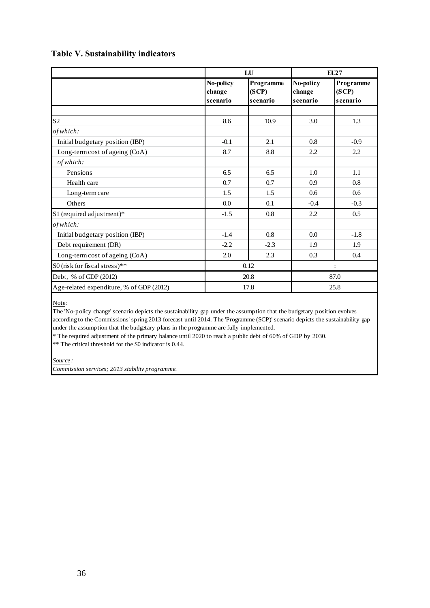## **Table V. Sustainability indicators**

|                                          |                                 | LU                             |                                 | EU27                           |  |  |
|------------------------------------------|---------------------------------|--------------------------------|---------------------------------|--------------------------------|--|--|
|                                          | No-policy<br>change<br>scenario | Programme<br>(SCP)<br>scenario | No-policy<br>change<br>scenario | Programme<br>(SCP)<br>scenario |  |  |
|                                          |                                 |                                |                                 |                                |  |  |
| S <sub>2</sub>                           | 8.6                             | 10.9                           | 3.0                             | 1.3                            |  |  |
| of which:                                |                                 |                                |                                 |                                |  |  |
| Initial budgetary position (IBP)         | $-0.1$                          | 2.1                            | 0.8                             | $-0.9$                         |  |  |
| Long-term cost of ageing (CoA)           | 8.7                             | 8.8                            | $2.2\,$                         | 2.2                            |  |  |
| of which:                                |                                 |                                |                                 |                                |  |  |
| Pensions                                 | 6.5                             | 6.5                            | 1.0                             | 1.1                            |  |  |
| Health care                              | 0.7                             | 0.7                            | 0.9                             | 0.8                            |  |  |
| Long-term care                           | 1.5                             | 1.5                            | 0.6                             | 0.6                            |  |  |
| Others                                   | 0.0                             | 0.1                            | $-0.4$                          | $-0.3$                         |  |  |
| S1 (required adjustment)*                | $-1.5$                          | 0.8                            | 2.2                             | 0.5                            |  |  |
| of which:                                |                                 |                                |                                 |                                |  |  |
| Initial budgetary position (IBP)         | $-1.4$                          | 0.8                            | 0.0                             | $-1.8$                         |  |  |
| Debt requirement (DR)                    | $-2.2$                          | $-2.3$                         | 1.9                             | 1.9                            |  |  |
| Long-term cost of ageing (CoA)           | 2.0                             | 2.3                            | 0.3                             | 0.4                            |  |  |
| S0 (risk for fiscal stress)**            |                                 | 0.12                           |                                 | :                              |  |  |
| Debt, % of GDP (2012)                    |                                 | 20.8                           | 87.0                            |                                |  |  |
| Age-related expenditure, % of GDP (2012) |                                 | 17.8                           | 25.8                            |                                |  |  |

Note:

The 'No-policy change' scenario depicts the sustainability gap under the assumption that the budgetary position evolves according to the Commissions' spring 2013 forecast until 2014. The 'Programme (SCP)' scenario depicts the sustainability gap under the assumption that the budgetary plans in the programme are fully implemented.

\* The required adjustment of the primary balance until 2020 to reach a public debt of 60% of GDP by 2030.

\*\* The critical threshold for the S0 indicator is 0.44.

*Source :* 

*Commission services; 2013 stability programme.*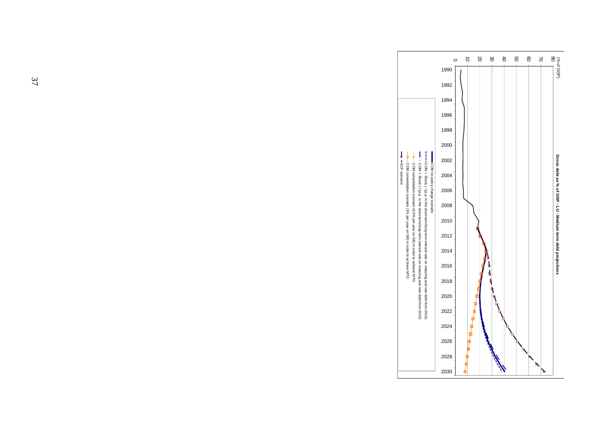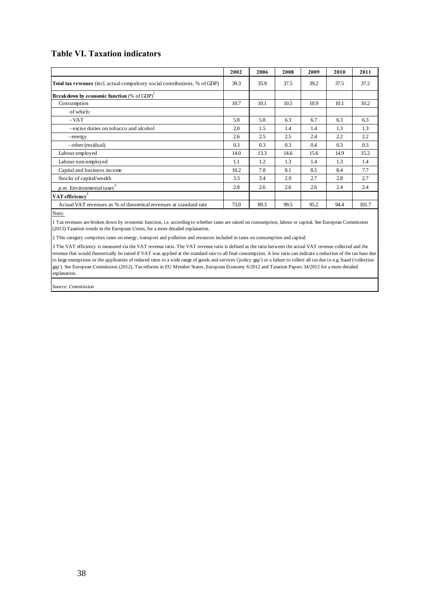## **Table VI. Taxation indicators**

|                                                                                    | 2002 | 2006 | 2008 | 2009 | 2010 | 2011  |
|------------------------------------------------------------------------------------|------|------|------|------|------|-------|
| <b>Total tax revenues</b> (incl. actual compulsory social contributions, % of GDP) | 39.3 | 35.9 | 37.5 | 39.2 | 37.5 | 37.2  |
| <b>Breakdown by economic function</b> (% of GDP) <sup>1</sup>                      |      |      |      |      |      |       |
| Consumption                                                                        | 10.7 | 10.1 | 10.5 | 10.9 | 10.1 | 10.2  |
| of which:                                                                          |      |      |      |      |      |       |
| - VAT                                                                              | 5.8  | 5.8  | 6.3  | 6.7  | 6.3  | 6.3   |
| - excise duties on tobacco and alcohol                                             | 2.0  | 1.5  | 1.4  | 1.4  | 1.3  | 1.3   |
| - energy                                                                           | 2.6  | 2.5  | 2.5  | 2.4  | 2.2  | 2.2   |
| - other (residual)                                                                 | 0.3  | 0.3  | 0.3  | 0.4  | 0.3  | 0.3   |
| Labour employed                                                                    | 14.0 | 13.3 | 14.6 | 15.6 | 14.9 | 15.2  |
| Labour non-employed                                                                | 1.1  | 1.2  | 1.3  | 1.4  | 1.3  | 1.4   |
| Capital and business income                                                        | 10.2 | 7.8  | 8.1  | 8.5  | 8.4  | 7.7   |
| Stocks of capital/wealth                                                           | 3.3  | 3.4  | 2.9  | 2.7  | 2.8  | 2.7   |
| $p.m.$ Environmental taxes <sup>2</sup>                                            | 2.8  | 2.6  | 2.6  | 2.6  | 2.4  | 2.4   |
| VAT efficiency                                                                     |      |      |      |      |      |       |
| Actual VAT revenues as % of theoretical revenues at standard rate                  | 73.0 | 89.3 | 99.5 | 95.2 | 94.4 | 101.7 |

Note:

1 Tax revenues are broken down by economic function, i.e. according to whether taxes are raised on consumption, labour or capital. See European Commission (2013) Taxation trends in the European Union, for a more detailed explanation.

2 This category comprises taxes on energy, transport and pollution and resources included in taxes on consumption and capital.

3 The VAT efficiency is measured via the VAT revenue ratio. The VAT revenue ratio is defined as the ratio between the actual VAT revenue collected and the revenue that would theoretically be raised if VAT was applied at the standard rate to all final consumption. A low ratio can indicate a reduction of the tax base due to large exemptions or the application of reduced rates to a wide range of goods and services ('policy gap') or a failure to collect all tax due to e.g. fraud ('collection gap'). See European Commission (2012), Tax reforms in EU Member States, European Economy 6/2012 and Taxation Papers 34/2012 for a more detailed explanation.

*Source: Commission*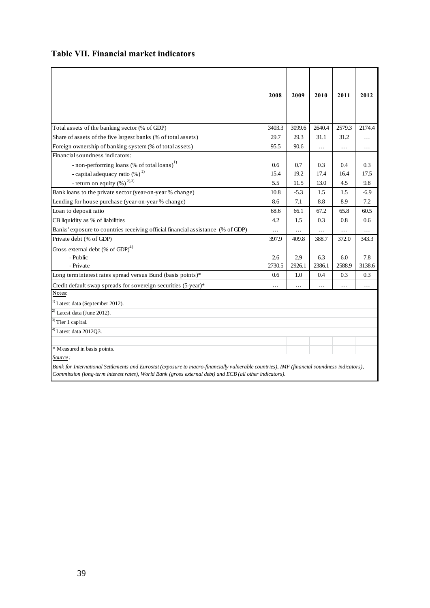## **Table VII. Financial market indicators**

|                                                                                                                                             | 2008   | 2009   | 2010     | 2011     | 2012     |
|---------------------------------------------------------------------------------------------------------------------------------------------|--------|--------|----------|----------|----------|
|                                                                                                                                             |        |        |          |          |          |
| Total assets of the banking sector (% of GDP)                                                                                               | 3403.3 | 3099.6 | 2640.4   | 2579.3   | 2174.4   |
| Share of assets of the five largest banks (% of total assets)                                                                               | 29.7   | 29.3   | 31.1     | 31.2     | .        |
| Foreign ownership of banking system (% of total assets)                                                                                     | 95.5   | 90.6   | .        | .        | .        |
| Financial soundness indicators:                                                                                                             |        |        |          |          |          |
| - non-performing loans (% of total loans) <sup>1)</sup>                                                                                     | 0.6    | 0.7    | 0.3      | 0.4      | 0.3      |
| - capital adequacy ratio (%) <sup>2)</sup>                                                                                                  | 15.4   | 19.2   | 17.4     | 16.4     | 17.5     |
| - return on equity $(\%)$ <sup>2),3)</sup>                                                                                                  | 5.5    | 11.5   | 13.0     | 4.5      | 9.8      |
| Bank loans to the private sector (year-on-year % change)                                                                                    | 10.8   | $-5.3$ | 1.5      | 1.5      | $-6.9$   |
| Lending for house purchase (year-on-year % change)                                                                                          | 8.6    | 7.1    | 8.8      | 8.9      | 7.2      |
| Loan to deposit ratio                                                                                                                       | 68.6   | 66.1   | 67.2     | 65.8     | 60.5     |
| CB liquidity as % of liabilities                                                                                                            | 4.2    | 1.5    | 0.3      | 0.8      | 0.6      |
| Banks' exposure to countries receiving official financial assistance (% of GDP)                                                             | .      | .      | $\cdots$ | $\cdots$ | .        |
| Private debt (% of GDP)                                                                                                                     | 397.9  | 409.8  | 388.7    | 372.0    | 343.3    |
| Gross external debt (% of GDP) $^{4)}$                                                                                                      |        |        |          |          |          |
| - Public                                                                                                                                    | 2.6    | 2.9    | 6.3      | 6.0      | 7.8      |
| - Private                                                                                                                                   | 2730.5 | 2926.1 | 2386.1   | 2588.9   | 3138.6   |
| Long term interest rates spread versus Bund (basis points)*                                                                                 | 0.6    | 1.0    | 0.4      | 0.3      | 0.3      |
| Credit default swap spreads for sovereign securities (5-year)*                                                                              | .      | .      | $\cdots$ | $\cdots$ | $\cdots$ |
| Notes:                                                                                                                                      |        |        |          |          |          |
| <sup>1)</sup> Latest data (September 2012).                                                                                                 |        |        |          |          |          |
| $^{2)}$ Latest data (June 2012).                                                                                                            |        |        |          |          |          |
| $3)$ Tier 1 capital.                                                                                                                        |        |        |          |          |          |
| $4)$ Latest data 2012Q3.                                                                                                                    |        |        |          |          |          |
|                                                                                                                                             |        |        |          |          |          |
| * Measured in basis points.                                                                                                                 |        |        |          |          |          |
| Source:                                                                                                                                     |        |        |          |          |          |
| Bank for International Settlements and Eurostat (exposure to macro-financially vulnerable countries), IMF (financial soundness indicators), |        |        |          |          |          |

*Commission (long-term interest rates), World Bank (gross external debt) and ECB (all other indicators).*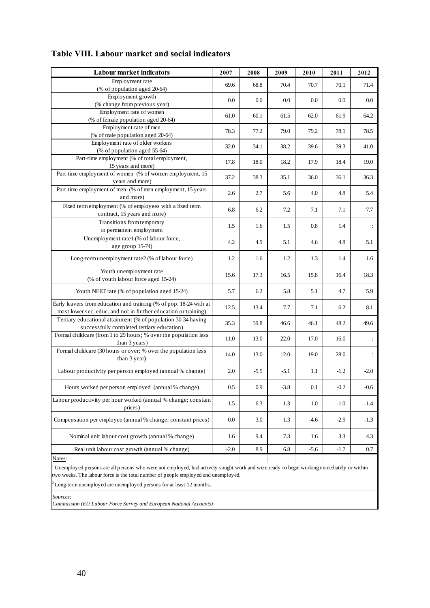| <b>Labour market indicators</b>                                                                                                          | 2007    | 2008    | 2009   | 2010    | 2011    | 2012           |  |
|------------------------------------------------------------------------------------------------------------------------------------------|---------|---------|--------|---------|---------|----------------|--|
| Employment rate                                                                                                                          | 69.6    | 68.8    | 70.4   | 70.7    | 70.1    | 71.4           |  |
| (% of population aged 20-64)                                                                                                             |         |         |        |         |         |                |  |
| Employment growth<br>(% change from previous year)                                                                                       | $0.0\,$ | $0.0\,$ | 0.0    | 0.0     | $0.0\,$ | $0.0\,$        |  |
| Employment rate of women                                                                                                                 |         |         |        |         |         |                |  |
| (% of female population aged 20-64)                                                                                                      | 61.0    | 60.1    | 61.5   | 62.0    | 61.9    | 64.2           |  |
| Employment rate of men                                                                                                                   |         |         |        |         |         |                |  |
| (% of male population aged 20-64)                                                                                                        | 78.3    | 77.2    | 79.0   | 79.2    | 78.1    | 78.5           |  |
| Employment rate of older workers                                                                                                         | 32.0    | 34.1    | 38.2   | 39.6    | 39.3    | 41.0           |  |
| (% of population aged 55-64)                                                                                                             |         |         |        |         |         |                |  |
| Part-time employment (% of total employment,                                                                                             | 17.8    | 18.0    | 18.2   | 17.9    | 18.4    | 19.0           |  |
| 15 years and more)<br>Part-time employment of women (% of women employment, 15                                                           |         |         |        |         |         |                |  |
| years and more)                                                                                                                          | 37.2    | 38.3    | 35.1   | 36.0    | 36.1    | 36.3           |  |
| Part-time employment of men (% of men employment, 15 years                                                                               |         |         |        |         |         |                |  |
| and more)                                                                                                                                | 2.6     | 2.7     | 5.6    | 4.0     | 4.8     | 5.4            |  |
| Fixed term employment (% of employees with a fixed term                                                                                  | 6.8     | 6.2     | 7.2    | 7.1     | 7.1     | 7.7            |  |
| contract, 15 years and more)                                                                                                             |         |         |        |         |         |                |  |
| Transitions from temporary                                                                                                               | 1.5     | 1.6     | 1.5    | 0.8     | 1.4     | ÷              |  |
| to permanent employment                                                                                                                  |         |         |        |         |         |                |  |
| Unemployment rate1 (% of labour force,                                                                                                   | 4.2     | 4.9     | 5.1    | 4.6     | 4.8     | 5.1            |  |
| age group 15-74)                                                                                                                         |         |         |        |         |         |                |  |
| Long-term unemployment rate2 (% of labour force)                                                                                         | 1.2     | 1.6     | 1.2    | 1.3     | 1.4     | 1.6            |  |
| Youth unemployment rate                                                                                                                  | 15.6    | 17.3    | 16.5   | 15.8    | 16.4    | 18.3           |  |
| (% of youth labour force aged 15-24)                                                                                                     |         |         |        |         |         |                |  |
| Youth NEET rate (% of population aged 15-24)                                                                                             | 5.7     | 6.2     | 5.8    | 5.1     | 4.7     | 5.9            |  |
| Early leavers from education and training (% of pop. 18-24 with at                                                                       | 12.5    | 13.4    | 7.7    | 7.1     | 6.2     | 8.1            |  |
| most lower sec. educ. and not in further education or training)                                                                          |         |         |        |         |         |                |  |
| Tertiary educational attainment (% of population 30-34 having<br>successfully completed tertiary education)                              | 35.3    | 39.8    | 46.6   | 46.1    | 48.2    | 49.6           |  |
| Formal childcare (from 1 to 29 hours; % over the population less                                                                         |         |         |        |         |         |                |  |
| than 3 years)                                                                                                                            | 11.0    | 13.0    | 22.0   | 17.0    | 16.0    | ÷              |  |
| Formal childcare (30 hours or over; % over the population less                                                                           | 14.0    | 13.0    | 12.0   | 19.0    | 28.0    | $\ddot{\cdot}$ |  |
| than 3 year)                                                                                                                             |         |         |        |         |         |                |  |
| Labour productivity per person employed (annual % change)                                                                                | 2.0     | $-5.5$  | $-5.1$ | $1.1\,$ | $-1.2$  | $-2.0$         |  |
|                                                                                                                                          |         |         |        |         |         |                |  |
| Hours worked per person employed (annual % change)                                                                                       | $0.5\,$ | 0.9     | $-3.8$ | 0.1     | $-0.2$  | $-0.6$         |  |
| Labour productivity per hour worked (annual % change; constant<br>prices)                                                                | 1.5     | $-6.3$  | $-1.3$ | 1.0     | $-1.0$  | $-1.4$         |  |
|                                                                                                                                          |         |         |        |         |         |                |  |
| Compensation per employee (annual % change; constant prices)                                                                             | $0.0\,$ | 3.0     | 1.3    | $-4.6$  | $-2.9$  | $-1.3$         |  |
| Nominal unit labour cost growth (annual % change)                                                                                        | 1.6     | 9.4     | 7.3    | 1.6     | 3.3     | 4.3            |  |
| Real unit labour cost growth (annual % change)                                                                                           | $-2.0$  | 8.9     | 6.8    | $-5.6$  | $-1.7$  | 0.7            |  |
| Notes:                                                                                                                                   |         |         |        |         |         |                |  |
| Unemployed persons are all persons who were not employed, had actively sought work and were ready to begin working immediately or within |         |         |        |         |         |                |  |
| two weeks. The labour force is the total number of people employed and unemployed.                                                       |         |         |        |         |         |                |  |
| Long-term unemployed are unemployed persons for at least 12 months.                                                                      |         |         |        |         |         |                |  |
| Sources:<br>Commission (EU Labour Force Survey and European National Accounts)                                                           |         |         |        |         |         |                |  |
|                                                                                                                                          |         |         |        |         |         |                |  |

# **Table VIII. Labour market and social indicators**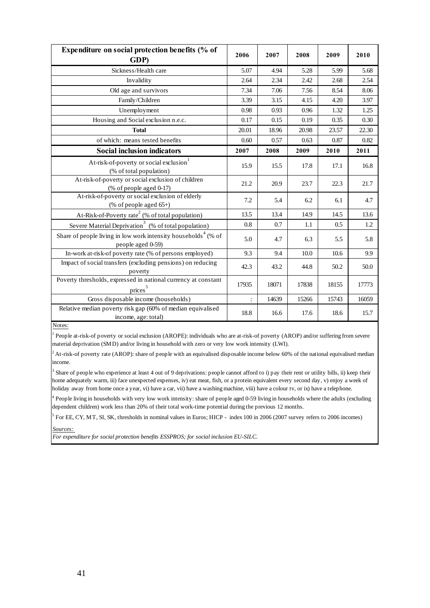| Expenditure on social protection benefits (% of<br>GDP)                                         | 2006  | 2007  | 2008  | 2009  | 2010  |
|-------------------------------------------------------------------------------------------------|-------|-------|-------|-------|-------|
| Sickness/Health care                                                                            | 5.07  | 4.94  | 5.28  | 5.99  | 5.68  |
| Invalidity                                                                                      | 2.64  | 2.34  | 2.42  | 2.68  | 2.54  |
| Old age and survivors                                                                           | 7.34  | 7.06  | 7.56  | 8.54  | 8.06  |
| Family/Children                                                                                 | 3.39  | 3.15  | 4.15  | 4.20  | 3.97  |
| Unemployment                                                                                    | 0.98  | 0.93  | 0.96  | 1.32  | 1.25  |
| Housing and Social exclusion n.e.c.                                                             | 0.17  | 0.15  | 0.19  | 0.35  | 0.30  |
| <b>Total</b>                                                                                    | 20.01 | 18.96 | 20.98 | 23.57 | 22.30 |
| of which: means tested benefits                                                                 | 0.60  | 0.57  | 0.63  | 0.87  | 0.82  |
| <b>Social inclusion indicators</b>                                                              | 2007  | 2008  | 2009  | 2010  | 2011  |
| At-risk-of-poverty or social exclusion<br>(% of total population)                               | 15.9  | 15.5  | 17.8  | 17.1  | 16.8  |
| At-risk-of-poverty or social exclusion of children<br>(% of people aged 0-17)                   | 21.2  | 20.9  | 23.7  | 22.3  | 21.7  |
| At-risk-of-poverty or social exclusion of elderly<br>(% of people aged $65+$ )                  | 7.2   | 5.4   | 6.2   | 6.1   | 4.7   |
| At-Risk-of-Poverty rate <sup>2</sup> (% of total population)                                    | 13.5  | 13.4  | 14.9  | 14.5  | 13.6  |
| Severe Material Deprivation <sup>3</sup> (% of total population)                                | 0.8   | 0.7   | 1.1   | 0.5   | 1.2   |
| Share of people living in low work intensity households <sup>4</sup> (% of<br>people aged 0-59) | 5.0   | 4.7   | 6.3   | 5.5   | 5.8   |
| In-work at-risk-of poverty rate (% of persons employed)                                         | 9.3   | 9.4   | 10.0  | 10.6  | 9.9   |
| Impact of social transfers (excluding pensions) on reducing<br>poverty                          | 42.3  | 43.2  | 44.8  | 50.2  | 50.0  |
| Poverty thresholds, expressed in national currency at constant<br>$\overline{\text{prices}}^5$  | 17935 | 18071 | 17838 | 18155 | 17773 |
| Gross disposable income (households)                                                            |       | 14639 | 15266 | 15743 | 16059 |
| Relative median poverty risk gap (60% of median equivalised<br>income, age: total)              | 18.8  | 16.6  | 17.6  | 18.6  | 15.7  |

Notes:

1 People at-risk-of poverty or social exclusion (AROPE): individuals who are at-risk-of poverty (AROP) and/or suffering from severe material deprivation (SMD) and/or living in household with zero or very low work intensity (LWI).

 $2$  At-risk-of poverty rate (AROP): share of people with an equivalised disposable income below 60% of the national equivalised median income.

<sup>3</sup> Share of people who experience at least 4 out of 9 deprivations: people cannot afford to i) pay their rent or utility bills, ii) keep their home adequately warm, iii) face unexpected expenses, iv) eat meat, fish, or a protein equivalent every second day, v) enjoy a week of holiday away from home once a year, vi) have a car, vii) have a washing machine, viii) have a colour tv, or ix) have a telephone.

<sup>4</sup> People living in households with very low work intensity: share of people aged 0-59 living in households where the adults (excluding dependent children) work less than 20% of their total work-time potential during the previous 12 months.

 $<sup>5</sup>$  For EE, CY, MT, SI, SK, thresholds in nominal values in Euros; HICP - index 100 in 2006 (2007 survey refers to 2006 incomes)</sup>

*Sources:* 

*For expenditure for social protection benefits ESSPROS; for social inclusion EU-SILC.*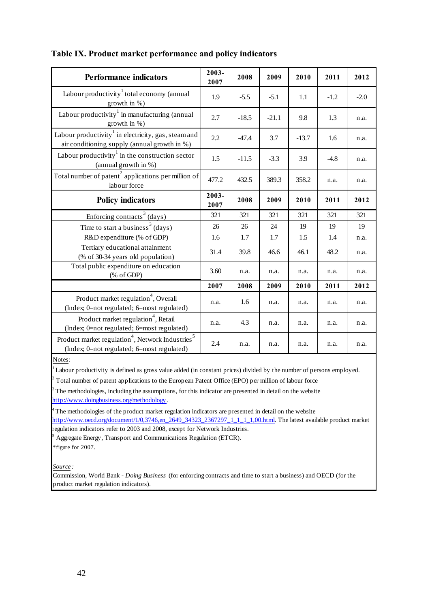| <b>Performance indicators</b>                                                                                          | 2003-<br>2007 | 2008    | 2009    | 2010    | 2011   | 2012   |
|------------------------------------------------------------------------------------------------------------------------|---------------|---------|---------|---------|--------|--------|
| Labour productivity <sup>1</sup> total economy (annual<br>growth in %)                                                 | 1.9           | $-5.5$  | $-5.1$  | 1.1     | $-1.2$ | $-2.0$ |
| Labour productivity $\frac{1}{1}$ in manufacturing (annual<br>growth in %)                                             | 2.7           | $-18.5$ | $-21.1$ | 9.8     | 1.3    | n.a.   |
| Labour productivity in electricity, gas, steam and<br>air conditioning supply (annual growth in %)                     | 2.2           | $-47.4$ | 3.7     | $-13.7$ | 1.6    | n.a.   |
| Labour productivity $1$ in the construction sector<br>(annual growth in %)                                             | 1.5           | $-11.5$ | $-3.3$  | 3.9     | $-4.8$ | n.a.   |
| Total number of patent <sup>2</sup> applications per million of<br>labour force                                        | 477.2         | 432.5   | 389.3   | 358.2   | n.a.   | n.a.   |
| <b>Policy indicators</b>                                                                                               | 2003-<br>2007 | 2008    | 2009    | 2010    | 2011   | 2012   |
| Enforcing contracts <sup>3</sup> (days)                                                                                | 321           | 321     | 321     | 321     | 321    | 321    |
| Time to start a business <sup>3</sup> (days)                                                                           | 26            | 26      | 24      | 19      | 19     | 19     |
| R&D expenditure (% of GDP)                                                                                             | 1.6           | 1.7     | 1.7     | 1.5     | 1.4    | n.a.   |
| Tertiary educational attainment<br>(% of 30-34 years old population)                                                   | 31.4          | 39.8    | 46.6    | 46.1    | 48.2   | n.a.   |
| Total public expenditure on education<br>$(% \mathcal{L}_{0} \cap \mathcal{L}_{1})$ (% of GDP)                         | 3.60          | n.a.    | n.a.    | n.a.    | n.a.   | n.a.   |
|                                                                                                                        | 2007          | 2008    | 2009    | 2010    | 2011   | 2012   |
| Product market regulation <sup>4</sup> , Overall<br>(Index; 0=not regulated; 6=most regulated)                         | n.a.          | 1.6     | n.a.    | n.a.    | n.a.   | n.a.   |
| Product market regulation <sup>4</sup> , Retail<br>(Index; 0=not regulated; 6=most regulated)                          | n.a.          | 4.3     | n.a.    | n.a.    | n.a.   | n.a.   |
| Product market regulation <sup>4</sup> , Network Industries <sup>5</sup><br>(Index; 0=not regulated; 6=most regulated) | 2.4           | n.a.    | n.a.    | n.a.    | n.a.   | n.a.   |
| Notes:                                                                                                                 |               |         |         |         |        |        |

## **Table IX. Product market performance and policy indicators**

Notes:

Labour productivity is defined as gross value added (in constant prices) divided by the number of persons employed.

 $2^2$  Total number of patent applications to the European Patent Office (EPO) per million of labour force

 $3<sup>3</sup>$  The methodologies, including the assumptions, for this indicator are presented in detail on the website http://www.doingbusiness.org/methodology.

<sup>4</sup>The methodologies of the product market regulation indicators are presented in detail on the website http://www.oecd.org/document/1/0,3746,en\_2649\_34323\_2367297\_1\_1\_1\_1,00.html. The latest available product market regulation indicators refer to 2003 and 2008, except for Network Industries.

5 Aggregate Energy, Transport and Communications Regulation (ETCR).

\*figure for 2007.

*Source :*

Commission, World Bank - *Doing Business* (for enforcing contracts and time to start a business) and OECD (for the product market regulation indicators).